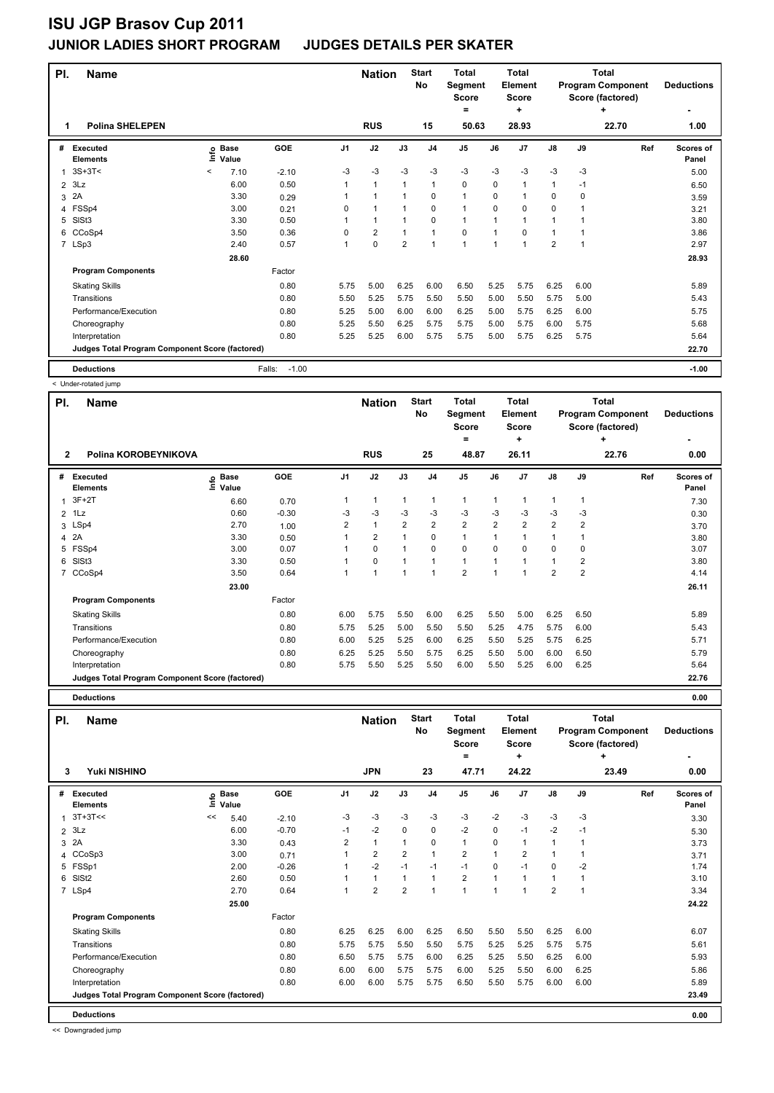|   | PI.<br><b>Name</b><br><b>Polina SHELEPEN</b><br>1 |         |                      |                   |                | <b>Nation</b>        |                | <b>Start</b><br><b>No</b> | <b>Total</b><br>Segment<br><b>Score</b><br>۰ |      | <b>Total</b><br>Element<br><b>Score</b><br>÷ |                |      | <b>Total</b><br><b>Program Component</b><br>Score (factored)<br>÷ | <b>Deductions</b>         |
|---|---------------------------------------------------|---------|----------------------|-------------------|----------------|----------------------|----------------|---------------------------|----------------------------------------------|------|----------------------------------------------|----------------|------|-------------------------------------------------------------------|---------------------------|
|   |                                                   |         |                      |                   |                | <b>RUS</b>           |                | 15                        | 50.63                                        |      | 28.93                                        |                |      | 22.70                                                             | 1.00                      |
| # | <b>Executed</b><br><b>Elements</b>                | lnfo    | <b>Base</b><br>Value | GOE               | J <sub>1</sub> | J2                   | J3             | J <sub>4</sub>            | J5                                           | J6   | J <sub>7</sub>                               | $\mathsf{J}8$  | J9   | Ref                                                               | <b>Scores of</b><br>Panel |
| 1 | $3S+3T<$                                          | $\,<\,$ | 7.10                 | $-2.10$           | $-3$           | $-3$                 | $-3$           | $-3$                      | $-3$                                         | $-3$ | $-3$                                         | $-3$           | $-3$ |                                                                   | 5.00                      |
| 2 | 3Lz                                               |         | 6.00                 | 0.50              |                | $\mathbf{1}$         | 1              | $\mathbf{1}$              | $\mathbf 0$                                  | 0    | 1                                            | $\mathbf{1}$   | $-1$ |                                                                   | 6.50                      |
| 3 | 2A                                                |         | 3.30                 | 0.29              |                | $\blacktriangleleft$ | 1              | 0                         | $\mathbf{1}$                                 | 0    | 1                                            | 0              | 0    |                                                                   | 3.59                      |
| 4 | FSSp4                                             |         | 3.00                 | 0.21              | 0              | $\overline{1}$       |                | 0                         | $\blacktriangleleft$                         | 0    | 0                                            | 0              |      |                                                                   | 3.21                      |
| 5 | SISt <sub>3</sub>                                 |         | 3.30                 | 0.50              |                | 1                    |                | $\Omega$                  | $\mathbf{1}$                                 | 1    | 1                                            | $\mathbf 1$    |      |                                                                   | 3.80                      |
| 6 | CCoSp4                                            |         | 3.50                 | 0.36              | 0              | $\overline{2}$       |                | $\mathbf{1}$              | $\mathbf 0$                                  | 1    | $\Omega$                                     | 1              |      |                                                                   | 3.86                      |
|   | 7 LSp3                                            |         | 2.40                 | 0.57              |                | $\mathbf 0$          | $\overline{2}$ | $\mathbf{1}$              | $\blacktriangleleft$                         | 1    | 1                                            | $\overline{2}$ | 1    |                                                                   | 2.97                      |
|   |                                                   |         | 28.60                |                   |                |                      |                |                           |                                              |      |                                              |                |      |                                                                   | 28.93                     |
|   | <b>Program Components</b>                         |         |                      | Factor            |                |                      |                |                           |                                              |      |                                              |                |      |                                                                   |                           |
|   | <b>Skating Skills</b>                             |         |                      | 0.80              | 5.75           | 5.00                 | 6.25           | 6.00                      | 6.50                                         | 5.25 | 5.75                                         | 6.25           | 6.00 |                                                                   | 5.89                      |
|   | Transitions                                       |         |                      | 0.80              | 5.50           | 5.25                 | 5.75           | 5.50                      | 5.50                                         | 5.00 | 5.50                                         | 5.75           | 5.00 |                                                                   | 5.43                      |
|   | Performance/Execution                             |         |                      | 0.80              | 5.25           | 5.00                 | 6.00           | 6.00                      | 6.25                                         | 5.00 | 5.75                                         | 6.25           | 6.00 |                                                                   | 5.75                      |
|   | Choreography                                      |         |                      | 0.80              | 5.25           | 5.50                 | 6.25           | 5.75                      | 5.75                                         | 5.00 | 5.75                                         | 6.00           | 5.75 |                                                                   | 5.68                      |
|   | Interpretation                                    |         |                      | 0.80              | 5.25           | 5.25                 | 6.00           | 5.75                      | 5.75                                         | 5.00 | 5.75                                         | 6.25           | 5.75 |                                                                   | 5.64                      |
|   | Judges Total Program Component Score (factored)   |         |                      |                   |                |                      |                |                           |                                              |      |                                              |                |      |                                                                   | 22.70                     |
|   | <b>Deductions</b>                                 |         |                      | $-1.00$<br>Falls: |                |                      |                |                           |                                              |      |                                              |                |      |                                                                   | $-1.00$                   |

< Under-rotated jump

| PI.<br><b>Name</b>                              |                            |         |                | <b>Nation</b>  |                | <b>Start</b><br>No | <b>Total</b><br>Segment<br><b>Score</b><br>$\equiv$ |                | Total<br><b>Element</b><br><b>Score</b><br>÷ |                |                | Total<br><b>Program Component</b><br>Score (factored)<br>÷ | <b>Deductions</b>         |
|-------------------------------------------------|----------------------------|---------|----------------|----------------|----------------|--------------------|-----------------------------------------------------|----------------|----------------------------------------------|----------------|----------------|------------------------------------------------------------|---------------------------|
| $\overline{2}$<br>Polina KOROBEYNIKOVA          |                            |         |                | <b>RUS</b>     |                | 25                 | 48.87                                               |                | 26.11                                        |                |                | 22.76                                                      | 0.00                      |
| Executed<br>#<br><b>Elements</b>                | e Base<br>E Value<br>Value | GOE     | J <sub>1</sub> | J2             | J3             | J <sub>4</sub>     | J <sub>5</sub>                                      | J6             | J <sub>7</sub>                               | $\mathsf{J}8$  | J9             | Ref                                                        | <b>Scores of</b><br>Panel |
| $3F+2T$                                         | 6.60                       | 0.70    | 1              | $\mathbf{1}$   | $\overline{1}$ |                    | $\mathbf{1}$                                        | 1              | 1                                            | 1              | $\mathbf{1}$   |                                                            | 7.30                      |
| 1Lz<br>$\overline{2}$                           | 0.60                       | $-0.30$ | $-3$           | $-3$           | -3             | $-3$               | $-3$                                                | $-3$           | $-3$                                         | $-3$           | $-3$           |                                                            | 0.30                      |
| 3 LSp4                                          | 2.70                       | 1.00    | 2              | $\mathbf{1}$   | $\overline{2}$ | $\overline{2}$     | $\overline{2}$                                      | $\overline{2}$ | $\overline{2}$                               | $\overline{2}$ | $\overline{2}$ |                                                            | 3.70                      |
| 2A<br>4                                         | 3.30                       | 0.50    | 1              | $\overline{2}$ | 1              | 0                  | $\mathbf{1}$                                        | 1              | 1                                            | $\mathbf{1}$   | 1              |                                                            | 3.80                      |
| FSSp4<br>5                                      | 3.00                       | 0.07    | 1              | 0              | 1              | $\Omega$           | $\mathbf 0$                                         | $\Omega$       | 0                                            | $\mathbf 0$    | 0              |                                                            | 3.07                      |
| SISt <sub>3</sub><br>6                          | 3.30                       | 0.50    | 1              | 0              |                |                    | $\mathbf{1}$                                        |                | 1                                            | 1              | 2              |                                                            | 3.80                      |
| 7 CCoSp4                                        | 3.50                       | 0.64    | 1              | 1              | $\overline{1}$ |                    | $\overline{2}$                                      | 1              | 1                                            | $\overline{2}$ | $\overline{2}$ |                                                            | 4.14                      |
|                                                 | 23.00                      |         |                |                |                |                    |                                                     |                |                                              |                |                |                                                            | 26.11                     |
| <b>Program Components</b>                       |                            | Factor  |                |                |                |                    |                                                     |                |                                              |                |                |                                                            |                           |
| <b>Skating Skills</b>                           |                            | 0.80    | 6.00           | 5.75           | 5.50           | 6.00               | 6.25                                                | 5.50           | 5.00                                         | 6.25           | 6.50           |                                                            | 5.89                      |
| Transitions                                     |                            | 0.80    | 5.75           | 5.25           | 5.00           | 5.50               | 5.50                                                | 5.25           | 4.75                                         | 5.75           | 6.00           |                                                            | 5.43                      |
| Performance/Execution                           |                            | 0.80    | 6.00           | 5.25           | 5.25           | 6.00               | 6.25                                                | 5.50           | 5.25                                         | 5.75           | 6.25           |                                                            | 5.71                      |
| Choreography                                    |                            | 0.80    | 6.25           | 5.25           | 5.50           | 5.75               | 6.25                                                | 5.50           | 5.00                                         | 6.00           | 6.50           |                                                            | 5.79                      |
| Interpretation                                  |                            | 0.80    | 5.75           | 5.50           | 5.25           | 5.50               | 6.00                                                | 5.50           | 5.25                                         | 6.00           | 6.25           |                                                            | 5.64                      |
| Judges Total Program Component Score (factored) |                            |         |                |                |                |                    |                                                     |                |                                              |                |                |                                                            | 22.76                     |
| <b>Deductions</b>                               |                            |         |                |                |                |                    |                                                     |                |                                              |                |                |                                                            | 0.00                      |

**Deductions 0.00**

| PI.            | <b>Name</b>                                     |    |                            |         |                | <b>Nation</b>  |                | <b>Start</b><br>No | <b>Total</b><br>Segment<br><b>Score</b><br>$=$ |                | <b>Total</b><br><b>Element</b><br><b>Score</b><br>÷ |                |      | <b>Total</b><br><b>Program Component</b><br>Score (factored)<br>٠ | <b>Deductions</b>  |
|----------------|-------------------------------------------------|----|----------------------------|---------|----------------|----------------|----------------|--------------------|------------------------------------------------|----------------|-----------------------------------------------------|----------------|------|-------------------------------------------------------------------|--------------------|
| 3              | Yuki NISHINO                                    |    |                            |         |                | <b>JPN</b>     |                | 23                 | 47.71                                          |                | 24.22                                               |                |      | 23.49                                                             | 0.00               |
| #              | Executed<br><b>Elements</b>                     |    | e Base<br>E Value<br>Value | GOE     | J <sub>1</sub> | J2             | J3             | J <sub>4</sub>     | J <sub>5</sub>                                 | J6             | J <sub>7</sub>                                      | $\mathsf{J}8$  | J9   | Ref                                                               | Scores of<br>Panel |
|                | $3T+3T<<$                                       | << | 5.40                       | $-2.10$ | $-3$           | $-3$           | $-3$           | $-3$               | $-3$                                           | $-2$           | $-3$                                                | $-3$           | -3   |                                                                   | 3.30               |
| $\overline{2}$ | 3Lz                                             |    | 6.00                       | $-0.70$ | $-1$           | $-2$           | $\Omega$       | $\mathbf 0$        | $-2$                                           | $\mathbf 0$    | $-1$                                                | $-2$           | $-1$ |                                                                   | 5.30               |
| 3              | 2A                                              |    | 3.30                       | 0.43    | $\overline{2}$ | $\mathbf{1}$   | $\mathbf{1}$   | 0                  | $\mathbf{1}$                                   | 0              | $\mathbf{1}$                                        | $\overline{1}$ |      |                                                                   | 3.73               |
|                | 4 CCoSp3                                        |    | 3.00                       | 0.71    | 1              | $\overline{2}$ | $\overline{2}$ | $\mathbf{1}$       | $\overline{2}$                                 | $\overline{1}$ | $\overline{2}$                                      | $\overline{1}$ |      |                                                                   | 3.71               |
|                | 5 FSSp1                                         |    | 2.00                       | $-0.26$ | 1              | $-2$           | $-1$           | $-1$               | $-1$                                           | $\Omega$       | $-1$                                                | $\Omega$       | $-2$ |                                                                   | 1.74               |
| 6              | SISt <sub>2</sub>                               |    | 2.60                       | 0.50    |                | 1              | 1              | 1                  | $\overline{\mathbf{c}}$                        | 1              |                                                     | $\mathbf{1}$   |      |                                                                   | 3.10               |
|                | 7 LSp4                                          |    | 2.70                       | 0.64    | 1              | $\overline{2}$ | $\overline{2}$ | ۸                  | 1                                              | $\overline{ }$ |                                                     | $\overline{2}$ | -1   |                                                                   | 3.34               |
|                |                                                 |    | 25.00                      |         |                |                |                |                    |                                                |                |                                                     |                |      |                                                                   | 24.22              |
|                | <b>Program Components</b>                       |    |                            | Factor  |                |                |                |                    |                                                |                |                                                     |                |      |                                                                   |                    |
|                | <b>Skating Skills</b>                           |    |                            | 0.80    | 6.25           | 6.25           | 6.00           | 6.25               | 6.50                                           | 5.50           | 5.50                                                | 6.25           | 6.00 |                                                                   | 6.07               |
|                | Transitions                                     |    |                            | 0.80    | 5.75           | 5.75           | 5.50           | 5.50               | 5.75                                           | 5.25           | 5.25                                                | 5.75           | 5.75 |                                                                   | 5.61               |
|                | Performance/Execution                           |    |                            | 0.80    | 6.50           | 5.75           | 5.75           | 6.00               | 6.25                                           | 5.25           | 5.50                                                | 6.25           | 6.00 |                                                                   | 5.93               |
|                | Choreography                                    |    |                            | 0.80    | 6.00           | 6.00           | 5.75           | 5.75               | 6.00                                           | 5.25           | 5.50                                                | 6.00           | 6.25 |                                                                   | 5.86               |
|                | Interpretation                                  |    |                            | 0.80    | 6.00           | 6.00           | 5.75           | 5.75               | 6.50                                           | 5.50           | 5.75                                                | 6.00           | 6.00 |                                                                   | 5.89               |
|                | Judges Total Program Component Score (factored) |    |                            |         |                |                |                |                    |                                                |                |                                                     |                |      |                                                                   | 23.49              |
|                | <b>Deductions</b>                               |    |                            |         |                |                |                |                    |                                                |                |                                                     |                |      |                                                                   | 0.00               |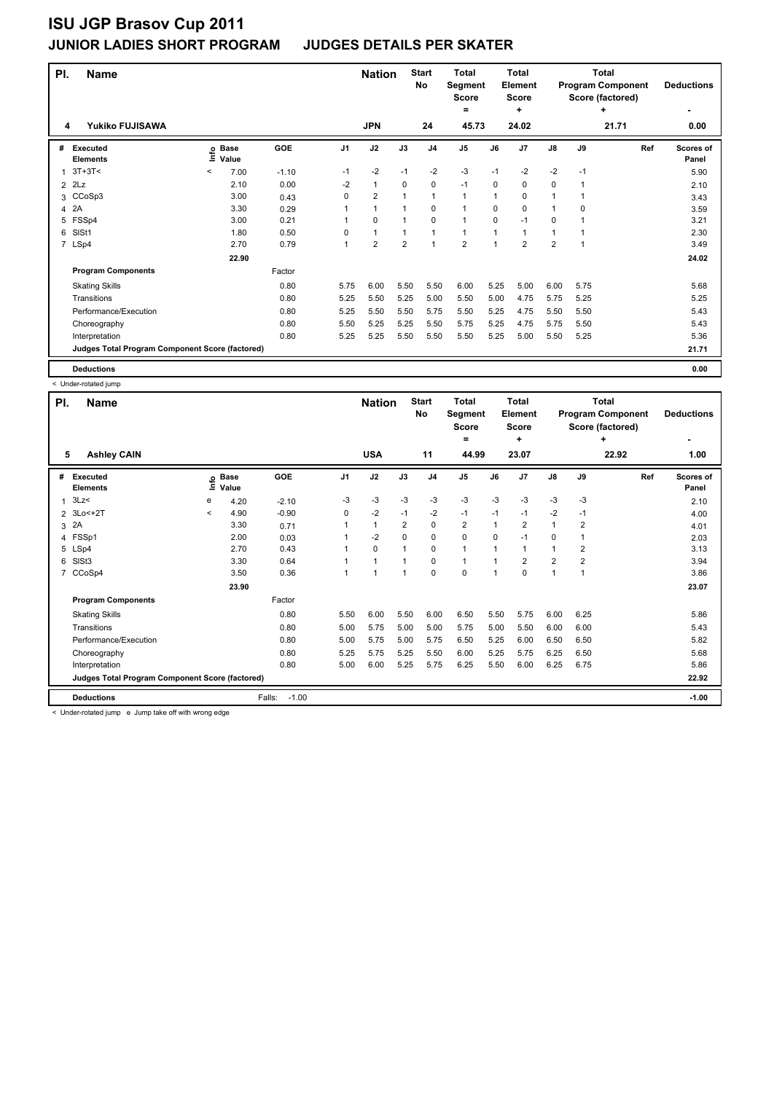| PI.            | <b>Name</b>                                     |         |                   |         |                | <b>Nation</b>  |                | <b>Start</b><br>No | <b>Total</b><br>Segment<br><b>Score</b><br>٠ |          | Total<br>Element<br><b>Score</b><br>÷ |                |      | Total<br><b>Program Component</b><br>Score (factored)<br>٠ | <b>Deductions</b>  |
|----------------|-------------------------------------------------|---------|-------------------|---------|----------------|----------------|----------------|--------------------|----------------------------------------------|----------|---------------------------------------|----------------|------|------------------------------------------------------------|--------------------|
| 4              | <b>Yukiko FUJISAWA</b>                          |         |                   |         |                | <b>JPN</b>     |                | 24                 | 45.73                                        |          | 24.02                                 |                |      | 21.71                                                      | 0.00               |
| #              | <b>Executed</b><br><b>Elements</b>              |         | e Base<br>⊆ Value | GOE     | J <sub>1</sub> | J2             | J3             | J <sub>4</sub>     | J <sub>5</sub>                               | J6       | J <sub>7</sub>                        | $\mathsf{J}8$  | J9   | Ref                                                        | Scores of<br>Panel |
| 1              | $3T+3T<$                                        | $\,<\,$ | 7.00              | $-1.10$ | -1             | $-2$           | $-1$           | $-2$               | $-3$                                         | $-1$     | $-2$                                  | $-2$           | $-1$ |                                                            | 5.90               |
| $\overline{2}$ | 2Lz                                             |         | 2.10              | 0.00    | $-2$           | $\mathbf{1}$   | $\Omega$       | 0                  | $-1$                                         | 0        | 0                                     | 0              | 1    |                                                            | 2.10               |
| 3              | CCoSp3                                          |         | 3.00              | 0.43    | 0              | $\overline{2}$ | $\overline{ }$ | $\mathbf{1}$       | 1                                            | 1        | 0                                     | 1              | 1    |                                                            | 3.43               |
| 4              | 2A                                              |         | 3.30              | 0.29    |                | $\mathbf{1}$   | 1              | $\mathbf 0$        | 1                                            | $\Omega$ | 0                                     | 1              | 0    |                                                            | 3.59               |
| 5              | FSSp4                                           |         | 3.00              | 0.21    | 1              | 0              | $\mathbf{1}$   | $\mathbf 0$        | $\mathbf{1}$                                 | 0        | $-1$                                  | 0              |      |                                                            | 3.21               |
| 6              | SIS <sub>t1</sub>                               |         | 1.80              | 0.50    | 0              | $\mathbf{1}$   | $\mathbf{1}$   | $\overline{1}$     | 1                                            | 1        | 1                                     | 1              | 1    |                                                            | 2.30               |
|                | 7 LSp4                                          |         | 2.70              | 0.79    | 1              | $\overline{2}$ | $\overline{2}$ | $\overline{1}$     | $\overline{2}$                               | 1        | $\overline{2}$                        | $\overline{2}$ | 1    |                                                            | 3.49               |
|                |                                                 |         | 22.90             |         |                |                |                |                    |                                              |          |                                       |                |      |                                                            | 24.02              |
|                | <b>Program Components</b>                       |         |                   | Factor  |                |                |                |                    |                                              |          |                                       |                |      |                                                            |                    |
|                | <b>Skating Skills</b>                           |         |                   | 0.80    | 5.75           | 6.00           | 5.50           | 5.50               | 6.00                                         | 5.25     | 5.00                                  | 6.00           | 5.75 |                                                            | 5.68               |
|                | Transitions                                     |         |                   | 0.80    | 5.25           | 5.50           | 5.25           | 5.00               | 5.50                                         | 5.00     | 4.75                                  | 5.75           | 5.25 |                                                            | 5.25               |
|                | Performance/Execution                           |         |                   | 0.80    | 5.25           | 5.50           | 5.50           | 5.75               | 5.50                                         | 5.25     | 4.75                                  | 5.50           | 5.50 |                                                            | 5.43               |
|                | Choreography                                    |         |                   | 0.80    | 5.50           | 5.25           | 5.25           | 5.50               | 5.75                                         | 5.25     | 4.75                                  | 5.75           | 5.50 |                                                            | 5.43               |
|                | Interpretation                                  |         |                   | 0.80    | 5.25           | 5.25           | 5.50           | 5.50               | 5.50                                         | 5.25     | 5.00                                  | 5.50           | 5.25 |                                                            | 5.36               |
|                | Judges Total Program Component Score (factored) |         |                   |         |                |                |                |                    |                                              |          |                                       |                |      |                                                            | 21.71              |
|                | <b>Deductions</b>                               |         |                   |         |                |                |                |                    |                                              |          |                                       |                |      |                                                            | 0.00               |

< Under-rotated jump

| PI.            | <b>Name</b>                                     |         |                      |                   |                | <b>Nation</b>  |                | <b>Start</b><br>No | <b>Total</b><br><b>Segment</b><br>Score |              | <b>Total</b><br>Element<br><b>Score</b> |                |      | <b>Total</b><br><b>Program Component</b><br>Score (factored) | <b>Deductions</b>  |
|----------------|-------------------------------------------------|---------|----------------------|-------------------|----------------|----------------|----------------|--------------------|-----------------------------------------|--------------|-----------------------------------------|----------------|------|--------------------------------------------------------------|--------------------|
|                |                                                 |         |                      |                   |                |                |                |                    | =                                       |              | ٠                                       |                |      | ÷                                                            | ٠                  |
| 5              | <b>Ashley CAIN</b>                              |         |                      |                   |                | <b>USA</b>     |                | 11                 | 44.99                                   |              | 23.07                                   |                |      | 22.92                                                        | 1.00               |
| #              | <b>Executed</b><br><b>Elements</b>              | lnfo    | <b>Base</b><br>Value | GOE               | J <sub>1</sub> | J2             | J3             | J <sub>4</sub>     | J <sub>5</sub>                          | J6           | J7                                      | $\mathsf{J}8$  | J9   | Ref                                                          | Scores of<br>Panel |
| $\mathbf{1}$   | 3Lz                                             | е       | 4.20                 | $-2.10$           | -3             | $-3$           | $-3$           | $-3$               | $-3$                                    | $-3$         | $-3$                                    | $-3$           | $-3$ |                                                              | 2.10               |
|                | 2 3Lo<+2T                                       | $\prec$ | 4.90                 | $-0.90$           | 0              | $-2$           | $-1$           | $-2$               | $-1$                                    | $-1$         | $-1$                                    | $-2$           | $-1$ |                                                              | 4.00               |
|                | 3 2A                                            |         | 3.30                 | 0.71              |                | $\mathbf{1}$   | 2              | $\mathbf 0$        | $\overline{2}$                          | 1            | 2                                       | 1              | 2    |                                                              | 4.01               |
|                | 4 FSSp1                                         |         | 2.00                 | 0.03              |                | $-2$           | $\Omega$       | $\mathbf 0$        | $\mathbf 0$                             | 0            | $-1$                                    | 0              |      |                                                              | 2.03               |
|                | 5 LSp4                                          |         | 2.70                 | 0.43              |                | $\mathbf 0$    | 1              | $\mathbf 0$        | $\mathbf{1}$                            | $\mathbf 1$  | 1                                       | 1              | 2    |                                                              | 3.13               |
| 6              | SISt <sub>3</sub>                               |         | 3.30                 | 0.64              |                | $\mathbf{1}$   | 1              | $\mathbf 0$        | $\mathbf{1}$                            | $\mathbf{1}$ | 2                                       | $\overline{2}$ | 2    |                                                              | 3.94               |
| $\overline{7}$ | CCoSp4                                          |         | 3.50                 | 0.36              |                | $\overline{1}$ | $\overline{1}$ | $\mathbf 0$        | $\mathbf 0$                             | $\mathbf{1}$ | $\Omega$                                | $\mathbf{1}$   |      |                                                              | 3.86               |
|                |                                                 |         | 23.90                |                   |                |                |                |                    |                                         |              |                                         |                |      |                                                              | 23.07              |
|                | <b>Program Components</b>                       |         |                      | Factor            |                |                |                |                    |                                         |              |                                         |                |      |                                                              |                    |
|                | <b>Skating Skills</b>                           |         |                      | 0.80              | 5.50           | 6.00           | 5.50           | 6.00               | 6.50                                    | 5.50         | 5.75                                    | 6.00           | 6.25 |                                                              | 5.86               |
|                | Transitions                                     |         |                      | 0.80              | 5.00           | 5.75           | 5.00           | 5.00               | 5.75                                    | 5.00         | 5.50                                    | 6.00           | 6.00 |                                                              | 5.43               |
|                | Performance/Execution                           |         |                      | 0.80              | 5.00           | 5.75           | 5.00           | 5.75               | 6.50                                    | 5.25         | 6.00                                    | 6.50           | 6.50 |                                                              | 5.82               |
|                | Choreography                                    |         |                      | 0.80              | 5.25           | 5.75           | 5.25           | 5.50               | 6.00                                    | 5.25         | 5.75                                    | 6.25           | 6.50 |                                                              | 5.68               |
|                | Interpretation                                  |         |                      | 0.80              | 5.00           | 6.00           | 5.25           | 5.75               | 6.25                                    | 5.50         | 6.00                                    | 6.25           | 6.75 |                                                              | 5.86               |
|                | Judges Total Program Component Score (factored) |         |                      |                   |                |                |                |                    |                                         |              |                                         |                |      |                                                              | 22.92              |
|                | <b>Deductions</b>                               |         |                      | $-1.00$<br>Falls: |                |                |                |                    |                                         |              |                                         |                |      |                                                              | $-1.00$            |

< Under-rotated jump e Jump take off with wrong edge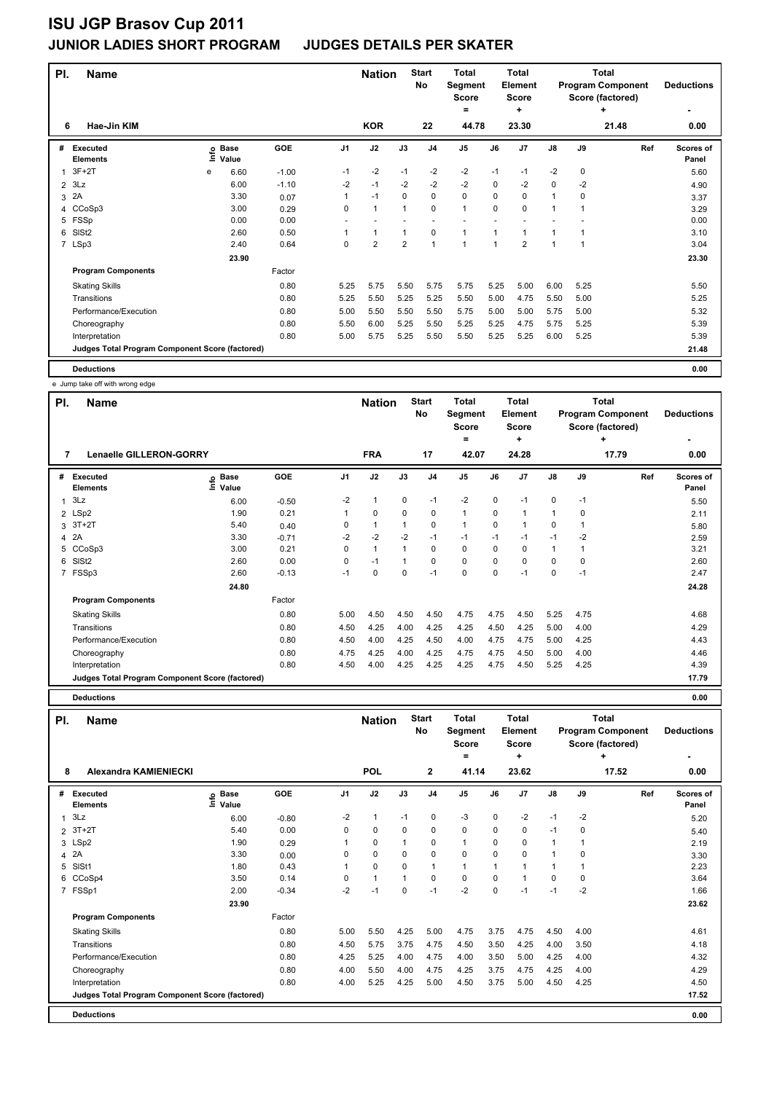| PI.            | <b>Name</b>                                     |   |                   |         |                | <b>Nation</b>  |                | <b>Start</b><br>No | <b>Total</b><br>Segment<br><b>Score</b><br>$\equiv$ |                | Total<br><b>Element</b><br><b>Score</b><br>$\ddot{}$ |               |             | <b>Total</b><br><b>Program Component</b><br>Score (factored)<br>٠ | <b>Deductions</b>  |
|----------------|-------------------------------------------------|---|-------------------|---------|----------------|----------------|----------------|--------------------|-----------------------------------------------------|----------------|------------------------------------------------------|---------------|-------------|-------------------------------------------------------------------|--------------------|
| 6              | Hae-Jin KIM                                     |   |                   |         |                | <b>KOR</b>     |                | 22                 | 44.78                                               |                | 23.30                                                |               |             | 21.48                                                             | 0.00               |
| #              | <b>Executed</b><br><b>Elements</b>              |   | e Base<br>⊆ Value | GOE     | J <sub>1</sub> | J2             | J3             | J <sub>4</sub>     | J <sub>5</sub>                                      | J6             | J7                                                   | $\mathsf{J}8$ | J9          | Ref                                                               | Scores of<br>Panel |
| $\mathbf 1$    | $3F+2T$                                         | e | 6.60              | $-1.00$ | $-1$           | $-2$           | $-1$           | $-2$               | $-2$                                                | $-1$           | $-1$                                                 | $-2$          | $\mathbf 0$ |                                                                   | 5.60               |
| $\overline{2}$ | 3Lz                                             |   | 6.00              | $-1.10$ | $-2$           | $-1$           | $-2$           | $-2$               | $-2$                                                | 0              | $-2$                                                 | $\mathbf 0$   | $-2$        |                                                                   | 4.90               |
| 3              | 2A                                              |   | 3.30              | 0.07    | 1              | $-1$           | 0              | 0                  | $\mathbf 0$                                         | 0              | 0                                                    | $\mathbf{1}$  | 0           |                                                                   | 3.37               |
| 4              | CCoSp3                                          |   | 3.00              | 0.29    | 0              | $\mathbf{1}$   | 1              | $\mathbf 0$        | $\mathbf{1}$                                        | $\Omega$       | 0                                                    | 1             |             |                                                                   | 3.29               |
| 5              | FSSp                                            |   | 0.00              | 0.00    |                |                |                |                    |                                                     |                |                                                      |               |             |                                                                   | 0.00               |
| 6              | SIS <sub>t2</sub>                               |   | 2.60              | 0.50    |                | $\mathbf{1}$   | $\mathbf{1}$   | $\mathbf 0$        | $\mathbf{1}$                                        | 1              | 1                                                    | 1             | 1           |                                                                   | 3.10               |
|                | 7 LSp3                                          |   | 2.40              | 0.64    | 0              | $\overline{2}$ | $\overline{2}$ | $\mathbf{1}$       | $\overline{ }$                                      | $\overline{1}$ | $\overline{2}$                                       | 1             | 1           |                                                                   | 3.04               |
|                |                                                 |   | 23.90             |         |                |                |                |                    |                                                     |                |                                                      |               |             |                                                                   | 23.30              |
|                | <b>Program Components</b>                       |   |                   | Factor  |                |                |                |                    |                                                     |                |                                                      |               |             |                                                                   |                    |
|                | <b>Skating Skills</b>                           |   |                   | 0.80    | 5.25           | 5.75           | 5.50           | 5.75               | 5.75                                                | 5.25           | 5.00                                                 | 6.00          | 5.25        |                                                                   | 5.50               |
|                | Transitions                                     |   |                   | 0.80    | 5.25           | 5.50           | 5.25           | 5.25               | 5.50                                                | 5.00           | 4.75                                                 | 5.50          | 5.00        |                                                                   | 5.25               |
|                | Performance/Execution                           |   |                   | 0.80    | 5.00           | 5.50           | 5.50           | 5.50               | 5.75                                                | 5.00           | 5.00                                                 | 5.75          | 5.00        |                                                                   | 5.32               |
|                | Choreography                                    |   |                   | 0.80    | 5.50           | 6.00           | 5.25           | 5.50               | 5.25                                                | 5.25           | 4.75                                                 | 5.75          | 5.25        |                                                                   | 5.39               |
|                | Interpretation                                  |   |                   | 0.80    | 5.00           | 5.75           | 5.25           | 5.50               | 5.50                                                | 5.25           | 5.25                                                 | 6.00          | 5.25        |                                                                   | 5.39               |
|                | Judges Total Program Component Score (factored) |   |                   |         |                |                |                |                    |                                                     |                |                                                      |               |             |                                                                   | 21.48              |
|                | <b>Deductions</b>                               |   |                   |         |                |                |                |                    |                                                     |                |                                                      |               |             |                                                                   | 0.00               |

e Jump take off with wrong edge

| PI. | <b>Name</b>                                     |                                        |         |                | <b>Nation</b> |      | <b>Start</b>   | Total          |          | Total          |              |             | <b>Total</b>             |                           |
|-----|-------------------------------------------------|----------------------------------------|---------|----------------|---------------|------|----------------|----------------|----------|----------------|--------------|-------------|--------------------------|---------------------------|
|     |                                                 |                                        |         |                |               |      | No             | Segment        |          | Element        |              |             | <b>Program Component</b> | <b>Deductions</b>         |
|     |                                                 |                                        |         |                |               |      |                | Score          |          | <b>Score</b>   |              |             | Score (factored)         |                           |
|     |                                                 |                                        |         |                |               |      |                | ٠              |          | ÷              |              |             | ٠                        |                           |
| 7   | Lenaelle GILLERON-GORRY                         |                                        |         |                | <b>FRA</b>    |      | 17             | 42.07          |          | 24.28          |              |             | 17.79                    | 0.00                      |
| #   | Executed<br><b>Elements</b>                     | <b>Base</b><br>$\bullet$<br>Ξ<br>Value | GOE     | J <sub>1</sub> | J2            | J3   | J <sub>4</sub> | J <sub>5</sub> | J6       | J <sub>7</sub> | J8           | J9          | Ref                      | <b>Scores of</b><br>Panel |
| 1   | 3Lz                                             | 6.00                                   | $-0.50$ | $-2$           | 1             | 0    | $-1$           | $-2$           | 0        | $-1$           | 0            | $-1$        |                          | 5.50                      |
|     | 2 LSp2                                          | 1.90                                   | 0.21    |                | 0             | 0    | 0              | $\mathbf{1}$   | 0        |                | $\mathbf{1}$ | 0           |                          | 2.11                      |
|     | $3 \t3T+2T$                                     | 5.40                                   | 0.40    | 0              | 1             |      | 0              | $\mathbf{1}$   | 0        |                | 0            |             |                          | 5.80                      |
|     | 4 2A                                            | 3.30                                   | $-0.71$ | $-2$           | $-2$          | $-2$ | $-1$           | $-1$           | $-1$     | $-1$           | $-1$         | $-2$        |                          | 2.59                      |
| 5   | CCoSp3                                          | 3.00                                   | 0.21    | 0              | $\mathbf{1}$  |      | 0              | 0              | $\Omega$ | 0              | 1            |             |                          | 3.21                      |
| 6   | SISt <sub>2</sub>                               | 2.60                                   | 0.00    | 0              | $-1$          |      | 0              | $\mathbf 0$    | $\Omega$ | $\Omega$       | 0            | $\mathbf 0$ |                          | 2.60                      |
|     | 7 FSSp3                                         | 2.60                                   | $-0.13$ | $-1$           | $\mathbf 0$   | 0    | $-1$           | 0              | 0        | $-1$           | 0            | $-1$        |                          | 2.47                      |
|     |                                                 | 24.80                                  |         |                |               |      |                |                |          |                |              |             |                          | 24.28                     |
|     | <b>Program Components</b>                       |                                        | Factor  |                |               |      |                |                |          |                |              |             |                          |                           |
|     | <b>Skating Skills</b>                           |                                        | 0.80    | 5.00           | 4.50          | 4.50 | 4.50           | 4.75           | 4.75     | 4.50           | 5.25         | 4.75        |                          | 4.68                      |
|     | Transitions                                     |                                        | 0.80    | 4.50           | 4.25          | 4.00 | 4.25           | 4.25           | 4.50     | 4.25           | 5.00         | 4.00        |                          | 4.29                      |
|     | Performance/Execution                           |                                        | 0.80    | 4.50           | 4.00          | 4.25 | 4.50           | 4.00           | 4.75     | 4.75           | 5.00         | 4.25        |                          | 4.43                      |
|     | Choreography                                    |                                        | 0.80    | 4.75           | 4.25          | 4.00 | 4.25           | 4.75           | 4.75     | 4.50           | 5.00         | 4.00        |                          | 4.46                      |
|     | Interpretation                                  |                                        | 0.80    | 4.50           | 4.00          | 4.25 | 4.25           | 4.25           | 4.75     | 4.50           | 5.25         | 4.25        |                          | 4.39                      |
|     | Judges Total Program Component Score (factored) |                                        |         |                |               |      |                |                |          |                |              |             |                          | 17.79                     |

**Deductions 0.00**

| PI.            | <b>Name</b>                                     |                              |         |                | <b>Nation</b> |                | <b>Start</b><br><b>No</b> | <b>Total</b><br>Segment<br><b>Score</b><br>= |                | <b>Total</b><br>Element<br><b>Score</b><br>٠ |              |      | Total<br><b>Program Component</b><br>Score (factored)<br>٠ | <b>Deductions</b>  |
|----------------|-------------------------------------------------|------------------------------|---------|----------------|---------------|----------------|---------------------------|----------------------------------------------|----------------|----------------------------------------------|--------------|------|------------------------------------------------------------|--------------------|
| 8              | <b>Alexandra KAMIENIECKI</b>                    |                              |         |                | POL           |                | $\mathbf{2}$              | 41.14                                        |                | 23.62                                        |              |      | 17.52                                                      | 0.00               |
| #              | <b>Executed</b><br><b>Elements</b>              | <b>Base</b><br>١nf٥<br>Value | GOE     | J <sub>1</sub> | J2            | J3             | J <sub>4</sub>            | J <sub>5</sub>                               | J6             | J <sub>7</sub>                               | J8           | J9   | Ref                                                        | Scores of<br>Panel |
| $\mathbf{1}$   | 3Lz                                             | 6.00                         | $-0.80$ | $-2$           | $\mathbf{1}$  | $-1$           | 0                         | $-3$                                         | 0              | $-2$                                         | $-1$         | $-2$ |                                                            | 5.20               |
| $\overline{2}$ | $3T+2T$                                         | 5.40                         | 0.00    | 0              | $\mathbf 0$   | 0              | $\pmb{0}$                 | $\pmb{0}$                                    | $\Omega$       | 0                                            | $-1$         | 0    |                                                            | 5.40               |
|                | 3 LSp2                                          | 1.90                         | 0.29    |                | 0             |                | 0                         | $\mathbf{1}$                                 | $\Omega$       | 0                                            | 1            |      |                                                            | 2.19               |
| 4              | 2A                                              | 3.30                         | 0.00    | 0              | $\Omega$      | $\Omega$       | $\Omega$                  | $\Omega$                                     | $\Omega$       | $\Omega$                                     | 1            | O    |                                                            | 3.30               |
| 5              | SISt1                                           | 1.80                         | 0.43    | 1              | $\mathbf 0$   | $\Omega$       | $\mathbf{1}$              | $\mathbf{1}$                                 | $\overline{1}$ |                                              | $\mathbf{1}$ |      |                                                            | 2.23               |
| 6              | CCoSp4                                          | 3.50                         | 0.14    | 0              | $\mathbf{1}$  | $\overline{1}$ | $\mathbf 0$               | $\mathbf 0$                                  | 0              |                                              | 0            | 0    |                                                            | 3.64               |
| $\overline{7}$ | FSSp1                                           | 2.00                         | $-0.34$ | $-2$           | $-1$          | 0              | $-1$                      | $-2$                                         | $\mathbf 0$    | $-1$                                         | $-1$         | $-2$ |                                                            | 1.66               |
|                |                                                 | 23.90                        |         |                |               |                |                           |                                              |                |                                              |              |      |                                                            | 23.62              |
|                | <b>Program Components</b>                       |                              | Factor  |                |               |                |                           |                                              |                |                                              |              |      |                                                            |                    |
|                | <b>Skating Skills</b>                           |                              | 0.80    | 5.00           | 5.50          | 4.25           | 5.00                      | 4.75                                         | 3.75           | 4.75                                         | 4.50         | 4.00 |                                                            | 4.61               |
|                | Transitions                                     |                              | 0.80    | 4.50           | 5.75          | 3.75           | 4.75                      | 4.50                                         | 3.50           | 4.25                                         | 4.00         | 3.50 |                                                            | 4.18               |
|                | Performance/Execution                           |                              | 0.80    | 4.25           | 5.25          | 4.00           | 4.75                      | 4.00                                         | 3.50           | 5.00                                         | 4.25         | 4.00 |                                                            | 4.32               |
|                | Choreography                                    |                              | 0.80    | 4.00           | 5.50          | 4.00           | 4.75                      | 4.25                                         | 3.75           | 4.75                                         | 4.25         | 4.00 |                                                            | 4.29               |
|                | Interpretation                                  |                              | 0.80    | 4.00           | 5.25          | 4.25           | 5.00                      | 4.50                                         | 3.75           | 5.00                                         | 4.50         | 4.25 |                                                            | 4.50               |
|                | Judges Total Program Component Score (factored) |                              |         |                |               |                |                           |                                              |                |                                              |              |      |                                                            | 17.52              |
|                | <b>Deductions</b>                               |                              |         |                |               |                |                           |                                              |                |                                              |              |      |                                                            | 0.00               |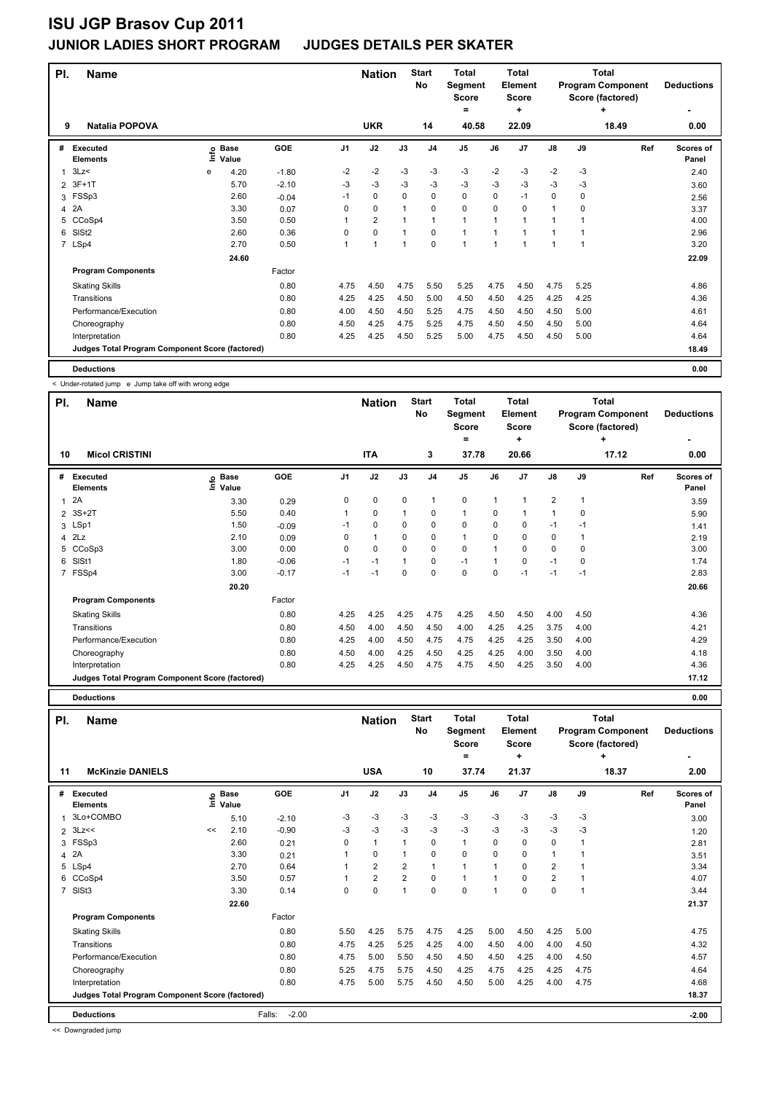| PI.            | <b>Name</b>                                     |   |                   |            |          | <b>Nation</b>  |              | <b>Start</b><br><b>No</b> | <b>Total</b><br>Segment<br><b>Score</b><br>= |      | <b>Total</b><br>Element<br><b>Score</b><br>٠ |               |          | <b>Total</b><br><b>Program Component</b><br>Score (factored)<br>٠ | <b>Deductions</b>  |
|----------------|-------------------------------------------------|---|-------------------|------------|----------|----------------|--------------|---------------------------|----------------------------------------------|------|----------------------------------------------|---------------|----------|-------------------------------------------------------------------|--------------------|
| 9              | <b>Natalia POPOVA</b>                           |   |                   |            |          | <b>UKR</b>     |              | 14                        | 40.58                                        |      | 22.09                                        |               |          | 18.49                                                             | 0.00               |
| #              | <b>Executed</b><br><b>Elements</b>              |   | e Base<br>⊑ Value | <b>GOE</b> | J1       | J2             | J3           | J <sub>4</sub>            | J <sub>5</sub>                               | J6   | J <sub>7</sub>                               | $\mathsf{J}8$ | J9       | Ref                                                               | Scores of<br>Panel |
|                | 3Lz                                             | e | 4.20              | $-1.80$    | $-2$     | $-2$           | $-3$         | $-3$                      | $-3$                                         | $-2$ | $-3$                                         | $-2$          | $-3$     |                                                                   | 2.40               |
| 2              | $3F+1T$                                         |   | 5.70              | $-2.10$    | -3       | -3             | $-3$         | $-3$                      | $-3$                                         | $-3$ | $-3$                                         | $-3$          | $-3$     |                                                                   | 3.60               |
| 3              | FSSp3                                           |   | 2.60              | $-0.04$    | $-1$     | $\mathbf 0$    | $\Omega$     | $\mathbf 0$               | 0                                            | 0    | $-1$                                         | 0             | 0        |                                                                   | 2.56               |
| 4              | 2A                                              |   | 3.30              | 0.07       | $\Omega$ | 0              | $\mathbf{1}$ | $\mathbf 0$               | 0                                            | 0    | 0                                            | $\mathbf{1}$  | $\Omega$ |                                                                   | 3.37               |
| 5              | CCoSp4                                          |   | 3.50              | 0.50       | 1        | $\overline{2}$ | 1            | 1                         | $\mathbf{1}$                                 | 1    | 1                                            | 1             | 1        |                                                                   | 4.00               |
| 6              | SIS <sub>t2</sub>                               |   | 2.60              | 0.36       | 0        | $\mathbf 0$    | $\mathbf{1}$ | $\mathbf 0$               | $\mathbf{1}$                                 | 1    | 1                                            | 1             | 1        |                                                                   | 2.96               |
| $\overline{7}$ | LSp4                                            |   | 2.70              | 0.50       | 1        | $\mathbf{1}$   | $\mathbf{1}$ | $\mathbf 0$               | 1                                            | 1    | 1                                            | 1             | 1        |                                                                   | 3.20               |
|                |                                                 |   | 24.60             |            |          |                |              |                           |                                              |      |                                              |               |          |                                                                   | 22.09              |
|                | <b>Program Components</b>                       |   |                   | Factor     |          |                |              |                           |                                              |      |                                              |               |          |                                                                   |                    |
|                | <b>Skating Skills</b>                           |   |                   | 0.80       | 4.75     | 4.50           | 4.75         | 5.50                      | 5.25                                         | 4.75 | 4.50                                         | 4.75          | 5.25     |                                                                   | 4.86               |
|                | Transitions                                     |   |                   | 0.80       | 4.25     | 4.25           | 4.50         | 5.00                      | 4.50                                         | 4.50 | 4.25                                         | 4.25          | 4.25     |                                                                   | 4.36               |
|                | Performance/Execution                           |   |                   | 0.80       | 4.00     | 4.50           | 4.50         | 5.25                      | 4.75                                         | 4.50 | 4.50                                         | 4.50          | 5.00     |                                                                   | 4.61               |
|                | Choreography                                    |   |                   | 0.80       | 4.50     | 4.25           | 4.75         | 5.25                      | 4.75                                         | 4.50 | 4.50                                         | 4.50          | 5.00     |                                                                   | 4.64               |
|                | Interpretation                                  |   |                   | 0.80       | 4.25     | 4.25           | 4.50         | 5.25                      | 5.00                                         | 4.75 | 4.50                                         | 4.50          | 5.00     |                                                                   | 4.64               |
|                | Judges Total Program Component Score (factored) |   |                   |            |          |                |              |                           |                                              |      |                                              |               |          |                                                                   | 18.49              |
|                | <b>Deductions</b>                               |   |                   |            |          |                |              |                           |                                              |      |                                              |               |          |                                                                   | 0.00               |

< Under-rotated jump e Jump take off with wrong edge

| PI. | Name                                            |                              |         |                | <b>Nation</b> |          | <b>Start</b><br>No | <b>Total</b><br>Segment<br><b>Score</b><br>= |             | <b>Total</b><br>Element<br><b>Score</b><br>÷ |                |      | Total<br><b>Program Component</b><br>Score (factored)<br>÷ | <b>Deductions</b>         |
|-----|-------------------------------------------------|------------------------------|---------|----------------|---------------|----------|--------------------|----------------------------------------------|-------------|----------------------------------------------|----------------|------|------------------------------------------------------------|---------------------------|
| 10  | <b>Micol CRISTINI</b>                           |                              |         |                | <b>ITA</b>    |          | 3                  | 37.78                                        |             | 20.66                                        |                |      | 17.12                                                      | 0.00                      |
| #   | Executed<br><b>Elements</b>                     | <b>Base</b><br>lnfo<br>Value | GOE     | J <sub>1</sub> | J2            | J3       | J <sub>4</sub>     | J <sub>5</sub>                               | J6          | J7                                           | $\mathsf{J}8$  | J9   | Ref                                                        | <b>Scores of</b><br>Panel |
| 1   | 2A                                              | 3.30                         | 0.29    | 0              | $\mathbf 0$   | 0        | 1                  | $\mathbf 0$                                  | 1           |                                              | $\overline{2}$ | 1    |                                                            | 3.59                      |
|     | 2 3S+2T                                         | 5.50                         | 0.40    | 1              | $\mathbf 0$   |          | $\mathbf 0$        | $\mathbf{1}$                                 | $\Omega$    |                                              | $\mathbf{1}$   | 0    |                                                            | 5.90                      |
|     | 3 LSp1                                          | 1.50                         | $-0.09$ | $-1$           | 0             | $\Omega$ | 0                  | 0                                            | $\Omega$    | 0                                            | -1             | $-1$ |                                                            | 1.41                      |
|     | $4$ $2Lz$                                       | 2.10                         | 0.09    | 0              | $\mathbf{1}$  | 0        | 0                  | $\mathbf{1}$                                 | 0           | 0                                            | 0              |      |                                                            | 2.19                      |
| 5   | CCoSp3                                          | 3.00                         | 0.00    | 0              | $\mathbf 0$   | $\Omega$ | $\mathbf 0$        | $\mathbf 0$                                  |             | $\Omega$                                     | 0              | 0    |                                                            | 3.00                      |
| 6   | SISt1                                           | 1.80                         | $-0.06$ | $-1$           | $-1$          |          | $\mathbf 0$        | $-1$                                         | 1           | 0                                            | $-1$           | 0    |                                                            | 1.74                      |
|     | 7 FSSp4                                         | 3.00                         | $-0.17$ | $-1$           | $-1$          | 0        | $\mathbf 0$        | $\mathbf 0$                                  | $\mathbf 0$ | $-1$                                         | $-1$           | $-1$ |                                                            | 2.83                      |
|     |                                                 | 20.20                        |         |                |               |          |                    |                                              |             |                                              |                |      |                                                            | 20.66                     |
|     | <b>Program Components</b>                       |                              | Factor  |                |               |          |                    |                                              |             |                                              |                |      |                                                            |                           |
|     | <b>Skating Skills</b>                           |                              | 0.80    | 4.25           | 4.25          | 4.25     | 4.75               | 4.25                                         | 4.50        | 4.50                                         | 4.00           | 4.50 |                                                            | 4.36                      |
|     | Transitions                                     |                              | 0.80    | 4.50           | 4.00          | 4.50     | 4.50               | 4.00                                         | 4.25        | 4.25                                         | 3.75           | 4.00 |                                                            | 4.21                      |
|     | Performance/Execution                           |                              | 0.80    | 4.25           | 4.00          | 4.50     | 4.75               | 4.75                                         | 4.25        | 4.25                                         | 3.50           | 4.00 |                                                            | 4.29                      |
|     | Choreography                                    |                              | 0.80    | 4.50           | 4.00          | 4.25     | 4.50               | 4.25                                         | 4.25        | 4.00                                         | 3.50           | 4.00 |                                                            | 4.18                      |
|     | Interpretation                                  |                              | 0.80    | 4.25           | 4.25          | 4.50     | 4.75               | 4.75                                         | 4.50        | 4.25                                         | 3.50           | 4.00 |                                                            | 4.36                      |
|     | Judges Total Program Component Score (factored) |                              |         |                |               |          |                    |                                              |             |                                              |                |      |                                                            | 17.12                     |

**Deductions 0.00**

| PI.            | <b>Name</b>                                     |      |                      |                   |                | <b>Nation</b>           |                | <b>Start</b><br>No | <b>Total</b><br>Segment<br><b>Score</b> |                          | <b>Total</b><br><b>Element</b><br><b>Score</b> |                         |      | <b>Total</b><br><b>Program Component</b><br>Score (factored) | <b>Deductions</b>  |
|----------------|-------------------------------------------------|------|----------------------|-------------------|----------------|-------------------------|----------------|--------------------|-----------------------------------------|--------------------------|------------------------------------------------|-------------------------|------|--------------------------------------------------------------|--------------------|
| 11             | <b>McKinzie DANIELS</b>                         |      |                      |                   |                | <b>USA</b>              |                | 10                 | $=$<br>37.74                            |                          | ٠<br>21.37                                     |                         |      | ٠<br>18.37                                                   | 2.00               |
| #              | Executed<br><b>Elements</b>                     | ١nf٥ | <b>Base</b><br>Value | GOE               | J <sub>1</sub> | J2                      | J3             | J <sub>4</sub>     | J <sub>5</sub>                          | J6                       | J <sub>7</sub>                                 | J8                      | J9   | Ref                                                          | Scores of<br>Panel |
| 1              | 3Lo+COMBO                                       |      | 5.10                 | $-2.10$           | $-3$           | $-3$                    | $-3$           | $-3$               | $-3$                                    | $-3$                     | $-3$                                           | $-3$                    | $-3$ |                                                              | 3.00               |
| $\overline{2}$ | 3Lz<<                                           | <<   | 2.10                 | $-0.90$           | -3             | $-3$                    | $-3$           | $-3$               | $-3$                                    | $-3$                     | $-3$                                           | $-3$                    | -3   |                                                              | 1.20               |
| 3              | FSSp3                                           |      | 2.60                 | 0.21              | $\Omega$       | $\mathbf{1}$            | $\mathbf{1}$   | 0                  | $\mathbf{1}$                            | 0                        | 0                                              | 0                       |      |                                                              | 2.81               |
| 4              | 2A                                              |      | 3.30                 | 0.21              |                | 0                       | $\mathbf{1}$   | 0                  | 0                                       | $\Omega$                 | 0                                              | $\mathbf{1}$            |      |                                                              | 3.51               |
| 5              | LSp4                                            |      | 2.70                 | 0.64              |                | $\overline{\mathbf{c}}$ | $\overline{2}$ | 1                  | $\overline{1}$                          |                          | $\Omega$                                       | $\overline{\mathbf{c}}$ |      |                                                              | 3.34               |
|                | 6 CCoSp4                                        |      | 3.50                 | 0.57              |                | $\overline{\mathbf{c}}$ | $\overline{2}$ | 0                  | $\mathbf{1}$                            |                          | 0                                              | $\overline{\mathbf{c}}$ |      |                                                              | 4.07               |
| $\overline{7}$ | SIS <sub>t3</sub>                               |      | 3.30                 | 0.14              | 0              | 0                       | 1              | 0                  | $\mathbf 0$                             | $\overline{\phantom{a}}$ | 0                                              | $\mathbf 0$             |      |                                                              | 3.44               |
|                |                                                 |      | 22.60                |                   |                |                         |                |                    |                                         |                          |                                                |                         |      |                                                              | 21.37              |
|                | <b>Program Components</b>                       |      |                      | Factor            |                |                         |                |                    |                                         |                          |                                                |                         |      |                                                              |                    |
|                | <b>Skating Skills</b>                           |      |                      | 0.80              | 5.50           | 4.25                    | 5.75           | 4.75               | 4.25                                    | 5.00                     | 4.50                                           | 4.25                    | 5.00 |                                                              | 4.75               |
|                | Transitions                                     |      |                      | 0.80              | 4.75           | 4.25                    | 5.25           | 4.25               | 4.00                                    | 4.50                     | 4.00                                           | 4.00                    | 4.50 |                                                              | 4.32               |
|                | Performance/Execution                           |      |                      | 0.80              | 4.75           | 5.00                    | 5.50           | 4.50               | 4.50                                    | 4.50                     | 4.25                                           | 4.00                    | 4.50 |                                                              | 4.57               |
|                | Choreography                                    |      |                      | 0.80              | 5.25           | 4.75                    | 5.75           | 4.50               | 4.25                                    | 4.75                     | 4.25                                           | 4.25                    | 4.75 |                                                              | 4.64               |
|                | Interpretation                                  |      |                      | 0.80              | 4.75           | 5.00                    | 5.75           | 4.50               | 4.50                                    | 5.00                     | 4.25                                           | 4.00                    | 4.75 |                                                              | 4.68               |
|                | Judges Total Program Component Score (factored) |      |                      |                   |                |                         |                |                    |                                         |                          |                                                |                         |      |                                                              | 18.37              |
|                | <b>Deductions</b>                               |      |                      | $-2.00$<br>Falls: |                |                         |                |                    |                                         |                          |                                                |                         |      |                                                              | $-2.00$            |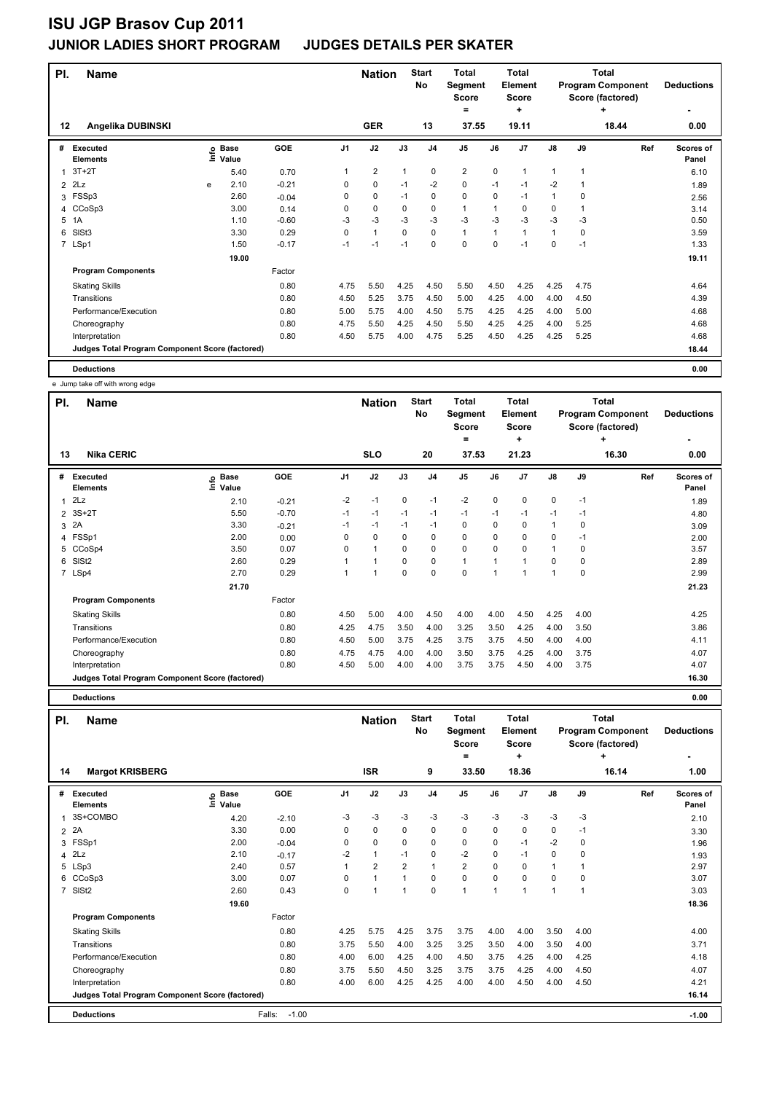| PI.            | <b>Name</b>                                     |   |                   |            |          | <b>Nation</b>  |              | <b>Start</b><br><b>No</b> | <b>Total</b><br>Segment<br><b>Score</b><br>$=$ |      | <b>Total</b><br>Element<br><b>Score</b><br>٠ |               |      | <b>Total</b><br><b>Program Component</b><br>Score (factored)<br>٠ | <b>Deductions</b>  |
|----------------|-------------------------------------------------|---|-------------------|------------|----------|----------------|--------------|---------------------------|------------------------------------------------|------|----------------------------------------------|---------------|------|-------------------------------------------------------------------|--------------------|
| $12 \,$        | Angelika DUBINSKI                               |   |                   |            |          | <b>GER</b>     |              | 13                        | 37.55                                          |      | 19.11                                        |               |      | 18.44                                                             | 0.00               |
| #              | <b>Executed</b><br><b>Elements</b>              |   | e Base<br>E Value | <b>GOE</b> | J1       | J2             | J3           | J <sub>4</sub>            | J <sub>5</sub>                                 | J6   | J <sub>7</sub>                               | $\mathsf{J}8$ | J9   | Ref                                                               | Scores of<br>Panel |
| $\mathbf{1}$   | $3T+2T$                                         |   | 5.40              | 0.70       | 1        | $\overline{2}$ | $\mathbf{1}$ | 0                         | $\overline{\mathbf{c}}$                        | 0    | $\mathbf{1}$                                 | 1             | 1    |                                                                   | 6.10               |
| 2              | 2Lz                                             | e | 2.10              | $-0.21$    | 0        | 0              | $-1$         | $-2$                      | 0                                              | $-1$ | $-1$                                         | $-2$          | 1    |                                                                   | 1.89               |
| 3              | FSSp3                                           |   | 2.60              | $-0.04$    | 0        | $\mathbf 0$    | $-1$         | $\mathbf 0$               | 0                                              | 0    | $-1$                                         | 1             | 0    |                                                                   | 2.56               |
|                | 4 CCoSp3                                        |   | 3.00              | 0.14       | 0        | 0              | 0            | 0                         | $\mathbf{1}$                                   | 1    | 0                                            | 0             | 1    |                                                                   | 3.14               |
| 5              | 1A                                              |   | 1.10              | $-0.60$    | $-3$     | $-3$           | $-3$         | $-3$                      | $-3$                                           | $-3$ | $-3$                                         | $-3$          | $-3$ |                                                                   | 0.50               |
| 6              | SISt <sub>3</sub>                               |   | 3.30              | 0.29       | $\Omega$ | $\mathbf{1}$   | $\mathbf 0$  | $\mathbf 0$               | $\mathbf{1}$                                   | 1    | 1                                            | $\mathbf{1}$  | 0    |                                                                   | 3.59               |
| $\overline{7}$ | LSp1                                            |   | 1.50              | $-0.17$    | $-1$     | $-1$           | $-1$         | $\mathbf 0$               | 0                                              | 0    | $-1$                                         | 0             | $-1$ |                                                                   | 1.33               |
|                |                                                 |   | 19.00             |            |          |                |              |                           |                                                |      |                                              |               |      |                                                                   | 19.11              |
|                | <b>Program Components</b>                       |   |                   | Factor     |          |                |              |                           |                                                |      |                                              |               |      |                                                                   |                    |
|                | <b>Skating Skills</b>                           |   |                   | 0.80       | 4.75     | 5.50           | 4.25         | 4.50                      | 5.50                                           | 4.50 | 4.25                                         | 4.25          | 4.75 |                                                                   | 4.64               |
|                | Transitions                                     |   |                   | 0.80       | 4.50     | 5.25           | 3.75         | 4.50                      | 5.00                                           | 4.25 | 4.00                                         | 4.00          | 4.50 |                                                                   | 4.39               |
|                | Performance/Execution                           |   |                   | 0.80       | 5.00     | 5.75           | 4.00         | 4.50                      | 5.75                                           | 4.25 | 4.25                                         | 4.00          | 5.00 |                                                                   | 4.68               |
|                | Choreography                                    |   |                   | 0.80       | 4.75     | 5.50           | 4.25         | 4.50                      | 5.50                                           | 4.25 | 4.25                                         | 4.00          | 5.25 |                                                                   | 4.68               |
|                | Interpretation                                  |   |                   | 0.80       | 4.50     | 5.75           | 4.00         | 4.75                      | 5.25                                           | 4.50 | 4.25                                         | 4.25          | 5.25 |                                                                   | 4.68               |
|                | Judges Total Program Component Score (factored) |   |                   |            |          |                |              |                           |                                                |      |                                              |               |      |                                                                   | 18.44              |
|                | <b>Deductions</b>                               |   |                   |            |          |                |              |                           |                                                |      |                                              |               |      |                                                                   | 0.00               |

e Jump off with

|     | e Julijip lake oli willi wiong edge             |                     |         |                |                |          |                    |                                         |          |                                         |              |      |                                                              |                           |
|-----|-------------------------------------------------|---------------------|---------|----------------|----------------|----------|--------------------|-----------------------------------------|----------|-----------------------------------------|--------------|------|--------------------------------------------------------------|---------------------------|
| PI. | <b>Name</b>                                     |                     |         |                | <b>Nation</b>  |          | <b>Start</b><br>No | <b>Total</b><br>Segment<br><b>Score</b> |          | <b>Total</b><br>Element<br><b>Score</b> |              |      | <b>Total</b><br><b>Program Component</b><br>Score (factored) | <b>Deductions</b>         |
|     |                                                 |                     |         |                |                |          |                    | =                                       |          | ٠                                       |              |      | ٠                                                            |                           |
| 13  | <b>Nika CERIC</b>                               |                     |         |                | <b>SLO</b>     |          | 20                 | 37.53                                   |          | 21.23                                   |              |      | 16.30                                                        | 0.00                      |
| #   | Executed<br><b>Elements</b>                     | Base<br>١m<br>Value | GOE     | J <sub>1</sub> | J2             | J3       | J <sub>4</sub>     | J <sub>5</sub>                          | J6       | J <sub>7</sub>                          | J8           | J9   | Ref                                                          | <b>Scores of</b><br>Panel |
| 1   | 2Lz                                             | 2.10                | $-0.21$ | $-2$           | $-1$           | 0        | $-1$               | $-2$                                    | 0        | 0                                       | 0            | $-1$ |                                                              | 1.89                      |
|     | 2 3S+2T                                         | 5.50                | $-0.70$ | $-1$           | $-1$           | $-1$     | $-1$               | $-1$                                    | $-1$     | $-1$                                    | $-1$         | $-1$ |                                                              | 4.80                      |
|     | 3 2A                                            | 3.30                | $-0.21$ | $-1$           | $-1$           | $-1$     | $-1$               | 0                                       | 0        | 0                                       | $\mathbf{1}$ | 0    |                                                              | 3.09                      |
|     | 4 FSSp1                                         | 2.00                | 0.00    | 0              | $\mathbf 0$    | $\Omega$ | 0                  | $\mathbf 0$                             | 0        | 0                                       | 0            | $-1$ |                                                              | 2.00                      |
|     | 5 CCoSp4                                        | 3.50                | 0.07    | $\Omega$       | $\overline{1}$ | $\Omega$ | 0                  | $\mathbf 0$                             | $\Omega$ | $\Omega$                                | $\mathbf{1}$ | 0    |                                                              | 3.57                      |
|     | 6 SISt2                                         | 2.60                | 0.29    |                | 1              | 0        | 0                  | $\mathbf{1}$                            |          |                                         | 0            | 0    |                                                              | 2.89                      |
|     | 7 LSp4                                          | 2.70                | 0.29    |                |                | 0        | 0                  | $\mathbf 0$                             | 1        |                                         |              | 0    |                                                              | 2.99                      |
|     |                                                 | 21.70               |         |                |                |          |                    |                                         |          |                                         |              |      |                                                              | 21.23                     |
|     | <b>Program Components</b>                       |                     | Factor  |                |                |          |                    |                                         |          |                                         |              |      |                                                              |                           |
|     | <b>Skating Skills</b>                           |                     | 0.80    | 4.50           | 5.00           | 4.00     | 4.50               | 4.00                                    | 4.00     | 4.50                                    | 4.25         | 4.00 |                                                              | 4.25                      |
|     | Transitions                                     |                     | 0.80    | 4.25           | 4.75           | 3.50     | 4.00               | 3.25                                    | 3.50     | 4.25                                    | 4.00         | 3.50 |                                                              | 3.86                      |
|     | Performance/Execution                           |                     | 0.80    | 4.50           | 5.00           | 3.75     | 4.25               | 3.75                                    | 3.75     | 4.50                                    | 4.00         | 4.00 |                                                              | 4.11                      |
|     | Choreography                                    |                     | 0.80    | 4.75           | 4.75           | 4.00     | 4.00               | 3.50                                    | 3.75     | 4.25                                    | 4.00         | 3.75 |                                                              | 4.07                      |
|     | Interpretation                                  |                     | 0.80    | 4.50           | 5.00           | 4.00     | 4.00               | 3.75                                    | 3.75     | 4.50                                    | 4.00         | 3.75 |                                                              | 4.07                      |
|     | Judges Total Program Component Score (factored) |                     |         |                |                |          |                    |                                         |          |                                         |              |      |                                                              | 16.30                     |

**Deductions 0.00**

| PI.            | <b>Name</b>                                     |                              |                   |                | <b>Nation</b>  |                | <b>Start</b><br>No | <b>Total</b><br>Segment<br><b>Score</b><br>= |              | <b>Total</b><br>Element<br><b>Score</b><br>٠ |                |                | Total<br><b>Program Component</b><br>Score (factored)<br>÷ | <b>Deductions</b>  |
|----------------|-------------------------------------------------|------------------------------|-------------------|----------------|----------------|----------------|--------------------|----------------------------------------------|--------------|----------------------------------------------|----------------|----------------|------------------------------------------------------------|--------------------|
| 14             | <b>Margot KRISBERG</b>                          |                              |                   |                | <b>ISR</b>     |                | 9                  | 33.50                                        |              | 18.36                                        |                |                | 16.14                                                      | 1.00               |
| #              | <b>Executed</b><br><b>Elements</b>              | <b>Base</b><br>١nf٥<br>Value | GOE               | J <sub>1</sub> | J2             | J3             | J <sub>4</sub>     | J <sub>5</sub>                               | J6           | J <sub>7</sub>                               | $\mathsf{J}8$  | J9             | Ref                                                        | Scores of<br>Panel |
| 1              | 3S+COMBO                                        | 4.20                         | $-2.10$           | -3             | $-3$           | $-3$           | $-3$               | $-3$                                         | $-3$         | -3                                           | $-3$           | -3             |                                                            | 2.10               |
| 2              | 2A                                              | 3.30                         | 0.00              | 0              | 0              | $\Omega$       | 0                  | 0                                            | 0            | 0                                            | 0              | -1             |                                                            | 3.30               |
| 3              | FSSp1                                           | 2.00                         | $-0.04$           | 0              | $\mathbf 0$    | 0              | $\mathbf 0$        | $\mathbf 0$                                  | 0            | $-1$                                         | $-2$           | 0              |                                                            | 1.96               |
| 4              | 2Lz                                             | 2.10                         | $-0.17$           | $-2$           | $\mathbf{1}$   | $-1$           | 0                  | $-2$                                         | $\Omega$     | $-1$                                         | 0              | $\Omega$       |                                                            | 1.93               |
|                | 5 LSp3                                          | 2.40                         | 0.57              | $\overline{1}$ | $\overline{2}$ | $\overline{2}$ | $\overline{1}$     | $\overline{2}$                               | $\Omega$     | 0                                            | $\overline{1}$ |                |                                                            | 2.97               |
| 6              | CCoSp3                                          | 3.00                         | 0.07              | $\Omega$       | $\mathbf{1}$   | 1              | 0                  | $\mathbf 0$                                  | 0            | 0                                            | 0              | 0              |                                                            | 3.07               |
| $\overline{7}$ | SISt <sub>2</sub>                               | 2.60                         | 0.43              | 0              | 1              | 1              | $\mathbf 0$        | $\overline{1}$                               | $\mathbf{1}$ | 1                                            | $\overline{1}$ | $\overline{1}$ |                                                            | 3.03               |
|                |                                                 | 19.60                        |                   |                |                |                |                    |                                              |              |                                              |                |                |                                                            | 18.36              |
|                | <b>Program Components</b>                       |                              | Factor            |                |                |                |                    |                                              |              |                                              |                |                |                                                            |                    |
|                | <b>Skating Skills</b>                           |                              | 0.80              | 4.25           | 5.75           | 4.25           | 3.75               | 3.75                                         | 4.00         | 4.00                                         | 3.50           | 4.00           |                                                            | 4.00               |
|                | Transitions                                     |                              | 0.80              | 3.75           | 5.50           | 4.00           | 3.25               | 3.25                                         | 3.50         | 4.00                                         | 3.50           | 4.00           |                                                            | 3.71               |
|                | Performance/Execution                           |                              | 0.80              | 4.00           | 6.00           | 4.25           | 4.00               | 4.50                                         | 3.75         | 4.25                                         | 4.00           | 4.25           |                                                            | 4.18               |
|                | Choreography                                    |                              | 0.80              | 3.75           | 5.50           | 4.50           | 3.25               | 3.75                                         | 3.75         | 4.25                                         | 4.00           | 4.50           |                                                            | 4.07               |
|                | Interpretation                                  |                              | 0.80              | 4.00           | 6.00           | 4.25           | 4.25               | 4.00                                         | 4.00         | 4.50                                         | 4.00           | 4.50           |                                                            | 4.21               |
|                | Judges Total Program Component Score (factored) |                              |                   |                |                |                |                    |                                              |              |                                              |                |                |                                                            | 16.14              |
|                | <b>Deductions</b>                               |                              | $-1.00$<br>Falls: |                |                |                |                    |                                              |              |                                              |                |                |                                                            | $-1.00$            |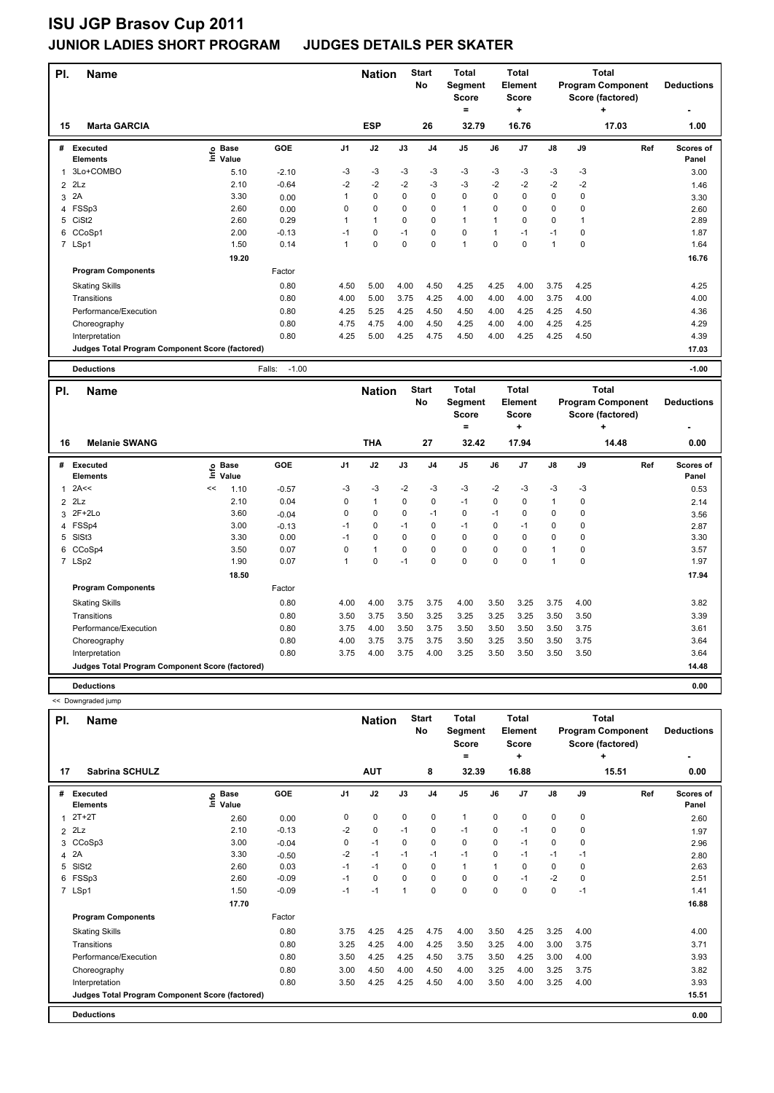| PI.            | <b>Name</b>                                     |                              |                   |                | <b>Nation</b> |             | <b>Start</b><br><b>No</b> | <b>Total</b><br><b>Segment</b><br><b>Score</b><br>٠ |             | <b>Total</b><br>Element<br><b>Score</b><br>٠ |               |      | <b>Total</b><br><b>Program Component</b><br>Score (factored)<br>÷ | <b>Deductions</b>         |
|----------------|-------------------------------------------------|------------------------------|-------------------|----------------|---------------|-------------|---------------------------|-----------------------------------------------------|-------------|----------------------------------------------|---------------|------|-------------------------------------------------------------------|---------------------------|
| 15             | <b>Marta GARCIA</b>                             |                              |                   |                | <b>ESP</b>    |             | 26                        | 32.79                                               |             | 16.76                                        |               |      | 17.03                                                             | 1.00                      |
| #              | Executed<br><b>Elements</b>                     | <b>Base</b><br>١nfo<br>Value | GOE               | J <sub>1</sub> | J2            | J3          | J <sub>4</sub>            | J5                                                  | J6          | J7                                           | $\mathsf{J}8$ | J9   | Ref                                                               | <b>Scores of</b><br>Panel |
| 1              | 3Lo+COMBO                                       | 5.10                         | $-2.10$           | -3             | -3            | -3          | -3                        | $-3$                                                | -3          | $-3$                                         | $-3$          | $-3$ |                                                                   | 3.00                      |
| $\overline{2}$ | 2Lz                                             | 2.10                         | $-0.64$           | $-2$           | $-2$          | $-2$        | $-3$                      | $-3$                                                | $-2$        | $-2$                                         | $-2$          | $-2$ |                                                                   | 1.46                      |
| 3              | 2A                                              | 3.30                         | 0.00              |                | $\mathbf 0$   | $\mathbf 0$ | $\mathbf 0$               | $\mathbf 0$                                         | 0           | 0                                            | $\mathbf 0$   | 0    |                                                                   | 3.30                      |
| 4              | FSSp3                                           | 2.60                         | 0.00              | 0              | $\mathbf 0$   | $\Omega$    | 0                         | $\mathbf{1}$                                        | $\Omega$    | 0                                            | $\mathbf 0$   | 0    |                                                                   | 2.60                      |
| 5              | CiSt <sub>2</sub>                               | 2.60                         | 0.29              |                | $\mathbf{1}$  | $\mathbf 0$ | $\mathbf 0$               | $\mathbf{1}$                                        | 1           | $\Omega$                                     | $\mathbf 0$   | 1    |                                                                   | 2.89                      |
| 6              | CCoSp1                                          | 2.00                         | $-0.13$           | $-1$           | 0             | $-1$        | 0                         | $\mathbf 0$                                         | 1           | $-1$                                         | $-1$          | 0    |                                                                   | 1.87                      |
|                | 7 LSp1                                          | 1.50                         | 0.14              | 1              | $\mathbf 0$   | $\mathbf 0$ | $\mathbf 0$               | $\mathbf{1}$                                        | $\mathbf 0$ | 0                                            | $\mathbf{1}$  | 0    |                                                                   | 1.64                      |
|                |                                                 | 19.20                        |                   |                |               |             |                           |                                                     |             |                                              |               |      |                                                                   | 16.76                     |
|                | <b>Program Components</b>                       |                              | Factor            |                |               |             |                           |                                                     |             |                                              |               |      |                                                                   |                           |
|                | <b>Skating Skills</b>                           |                              | 0.80              | 4.50           | 5.00          | 4.00        | 4.50                      | 4.25                                                | 4.25        | 4.00                                         | 3.75          | 4.25 |                                                                   | 4.25                      |
|                | Transitions                                     |                              | 0.80              | 4.00           | 5.00          | 3.75        | 4.25                      | 4.00                                                | 4.00        | 4.00                                         | 3.75          | 4.00 |                                                                   | 4.00                      |
|                | Performance/Execution                           |                              | 0.80              | 4.25           | 5.25          | 4.25        | 4.50                      | 4.50                                                | 4.00        | 4.25                                         | 4.25          | 4.50 |                                                                   | 4.36                      |
|                | Choreography                                    |                              | 0.80              | 4.75           | 4.75          | 4.00        | 4.50                      | 4.25                                                | 4.00        | 4.00                                         | 4.25          | 4.25 |                                                                   | 4.29                      |
|                | Interpretation                                  |                              | 0.80              | 4.25           | 5.00          | 4.25        | 4.75                      | 4.50                                                | 4.00        | 4.25                                         | 4.25          | 4.50 |                                                                   | 4.39                      |
|                | Judges Total Program Component Score (factored) |                              |                   |                |               |             |                           |                                                     |             |                                              |               |      |                                                                   | 17.03                     |
|                | <b>Deductions</b>                               |                              | $-1.00$<br>Falls: |                |               |             |                           |                                                     |             |                                              |               |      |                                                                   | $-1.00$                   |
| PI.            | <b>Name</b>                                     |                              |                   |                | <b>Nation</b> |             | <b>Start</b><br>No        | <b>Total</b><br>Segment<br><b>Score</b>             |             | <b>Total</b><br>Element<br><b>Score</b>      |               |      | <b>Total</b><br><b>Program Component</b><br>Score (factored)      | <b>Deductions</b>         |

|    |                                                 |    |                      |         |          |              | <b>00010</b> |                | ----           |          |                | ooore (nuotorca)     |          |           |                           |
|----|-------------------------------------------------|----|----------------------|---------|----------|--------------|--------------|----------------|----------------|----------|----------------|----------------------|----------|-----------|---------------------------|
|    |                                                 |    |                      |         |          |              |              |                | ۰              |          | ٠              |                      |          | $\ddot{}$ |                           |
| 16 | <b>Melanie SWANG</b>                            |    |                      |         |          | <b>THA</b>   |              | 27             | 32.42          |          | 17.94          |                      |          | 14.48     | 0.00                      |
| #  | Executed<br><b>Elements</b>                     | ۴ů | <b>Base</b><br>Value | GOE     | J1       | J2           | J3           | J <sub>4</sub> | J <sub>5</sub> | J6       | J <sub>7</sub> | $\mathsf{J}8$        | J9       | Ref       | <b>Scores of</b><br>Panel |
|    | $1$ 2A $\leq$                                   | << | 1.10                 | $-0.57$ | $-3$     | $-3$         | $-2$         | -3             | $-3$           | $-2$     | $-3$           | $-3$                 | $-3$     |           | 0.53                      |
|    | $2$ $2Lz$                                       |    | 2.10                 | 0.04    | $\Omega$ | $\mathbf{1}$ | $\mathbf 0$  | 0              | $-1$           | 0        | 0              | $\mathbf{1}$         | 0        |           | 2.14                      |
|    | 3 2F+2Lo                                        |    | 3.60                 | $-0.04$ | $\Omega$ | $\Omega$     | $\Omega$     | $-1$           | $\mathbf 0$    | $-1$     | $\Omega$       | 0                    | $\Omega$ |           | 3.56                      |
|    | 4 FSSp4                                         |    | 3.00                 | $-0.13$ | $-1$     | 0            | $-1$         | 0              | $-1$           | 0        | $-1$           | 0                    | 0        |           | 2.87                      |
|    | 5 SISt3                                         |    | 3.30                 | 0.00    | $-1$     | $\Omega$     | $\Omega$     | $\mathbf 0$    | $\mathbf 0$    | $\Omega$ | $\Omega$       | $\mathbf 0$          | $\Omega$ |           | 3.30                      |
|    | 6 CCoSp4                                        |    | 3.50                 | 0.07    | $\Omega$ | $\mathbf{1}$ | $\mathbf 0$  | 0              | 0              | 0        | 0              | 1                    | 0        |           | 3.57                      |
|    | 7 LSp2                                          |    | 1.90                 | 0.07    |          | 0            | $-1$         | $\pmb{0}$      | 0              | 0        | $\mathbf 0$    | $\blacktriangleleft$ | 0        |           | 1.97                      |
|    |                                                 |    | 18.50                |         |          |              |              |                |                |          |                |                      |          |           | 17.94                     |
|    | <b>Program Components</b>                       |    |                      | Factor  |          |              |              |                |                |          |                |                      |          |           |                           |
|    | <b>Skating Skills</b>                           |    |                      | 0.80    | 4.00     | 4.00         | 3.75         | 3.75           | 4.00           | 3.50     | 3.25           | 3.75                 | 4.00     |           | 3.82                      |
|    | Transitions                                     |    |                      | 0.80    | 3.50     | 3.75         | 3.50         | 3.25           | 3.25           | 3.25     | 3.25           | 3.50                 | 3.50     |           | 3.39                      |
|    | Performance/Execution                           |    |                      | 0.80    | 3.75     | 4.00         | 3.50         | 3.75           | 3.50           | 3.50     | 3.50           | 3.50                 | 3.75     |           | 3.61                      |
|    | Choreography                                    |    |                      | 0.80    | 4.00     | 3.75         | 3.75         | 3.75           | 3.50           | 3.25     | 3.50           | 3.50                 | 3.75     |           | 3.64                      |
|    | Interpretation                                  |    |                      | 0.80    | 3.75     | 4.00         | 3.75         | 4.00           | 3.25           | 3.50     | 3.50           | 3.50                 | 3.50     |           | 3.64                      |
|    | Judges Total Program Component Score (factored) |    |                      |         |          |              |              |                |                |          |                |                      |          |           | 14.48                     |
|    | <b>Deductions</b>                               |    |                      |         |          |              |              |                |                |          |                |                      |          |           | 0.00                      |

| PI.            | <b>Name</b>                                     |                            |            |                | <b>Nation</b> |             | <b>Start</b><br>No | <b>Total</b><br>Segment<br><b>Score</b><br>= |          | <b>Total</b><br>Element<br><b>Score</b><br>÷ |               |             | <b>Total</b><br><b>Program Component</b><br>Score (factored)<br>÷ | <b>Deductions</b><br>۰    |
|----------------|-------------------------------------------------|----------------------------|------------|----------------|---------------|-------------|--------------------|----------------------------------------------|----------|----------------------------------------------|---------------|-------------|-------------------------------------------------------------------|---------------------------|
| 17             | <b>Sabrina SCHULZ</b>                           |                            |            |                | <b>AUT</b>    |             | 8                  | 32.39                                        |          | 16.88                                        |               |             | 15.51                                                             | 0.00                      |
| #              | <b>Executed</b><br><b>Elements</b>              | e Base<br>E Value<br>Value | <b>GOE</b> | J <sub>1</sub> | J2            | J3          | J <sub>4</sub>     | J <sub>5</sub>                               | J6       | J7                                           | $\mathsf{J}8$ | J9          | Ref                                                               | <b>Scores of</b><br>Panel |
|                | $2T+2T$                                         | 2.60                       | 0.00       | 0              | $\mathbf 0$   | $\mathbf 0$ | $\pmb{0}$          | $\mathbf{1}$                                 | 0        | $\mathbf 0$                                  | 0             | $\mathbf 0$ |                                                                   | 2.60                      |
| $\overline{2}$ | 2Lz                                             | 2.10                       | $-0.13$    | $-2$           | $\mathbf 0$   | $-1$        | 0                  | $-1$                                         | 0        | $-1$                                         | 0             | 0           |                                                                   | 1.97                      |
|                | 3 CCoSp3                                        | 3.00                       | $-0.04$    | 0              | $-1$          | 0           | 0                  | $\mathbf 0$                                  | 0        | $-1$                                         | 0             | $\mathbf 0$ |                                                                   | 2.96                      |
| 4              | 2A                                              | 3.30                       | $-0.50$    | $-2$           | $-1$          | $-1$        | $-1$               | $-1$                                         | 0        | $-1$                                         | $-1$          | $-1$        |                                                                   | 2.80                      |
| 5              | SISt <sub>2</sub>                               | 2.60                       | 0.03       | $-1$           | $-1$          | $\Omega$    | 0                  | $\mathbf{1}$                                 | 1        | $\Omega$                                     | 0             | $\mathbf 0$ |                                                                   | 2.63                      |
|                | 6 FSSp3                                         | 2.60                       | $-0.09$    | $-1$           | 0             | 0           | 0                  | $\mathbf 0$                                  | 0        | $-1$                                         | $-2$          | $\mathbf 0$ |                                                                   | 2.51                      |
|                | 7 LSp1                                          | 1.50                       | $-0.09$    | $-1$           | $-1$          | 1           | $\mathbf 0$        | $\mathbf 0$                                  | $\Omega$ | $\Omega$                                     | 0             | $-1$        |                                                                   | 1.41                      |
|                |                                                 | 17.70                      |            |                |               |             |                    |                                              |          |                                              |               |             |                                                                   | 16.88                     |
|                | <b>Program Components</b>                       |                            | Factor     |                |               |             |                    |                                              |          |                                              |               |             |                                                                   |                           |
|                | <b>Skating Skills</b>                           |                            | 0.80       | 3.75           | 4.25          | 4.25        | 4.75               | 4.00                                         | 3.50     | 4.25                                         | 3.25          | 4.00        |                                                                   | 4.00                      |
|                | Transitions                                     |                            | 0.80       | 3.25           | 4.25          | 4.00        | 4.25               | 3.50                                         | 3.25     | 4.00                                         | 3.00          | 3.75        |                                                                   | 3.71                      |
|                | Performance/Execution                           |                            | 0.80       | 3.50           | 4.25          | 4.25        | 4.50               | 3.75                                         | 3.50     | 4.25                                         | 3.00          | 4.00        |                                                                   | 3.93                      |
|                | Choreography                                    |                            | 0.80       | 3.00           | 4.50          | 4.00        | 4.50               | 4.00                                         | 3.25     | 4.00                                         | 3.25          | 3.75        |                                                                   | 3.82                      |
|                | Interpretation                                  |                            | 0.80       | 3.50           | 4.25          | 4.25        | 4.50               | 4.00                                         | 3.50     | 4.00                                         | 3.25          | 4.00        |                                                                   | 3.93                      |
|                | Judges Total Program Component Score (factored) |                            |            |                |               |             |                    |                                              |          |                                              |               |             |                                                                   | 15.51                     |
|                | <b>Deductions</b>                               |                            |            |                |               |             |                    |                                              |          |                                              |               |             |                                                                   | 0.00                      |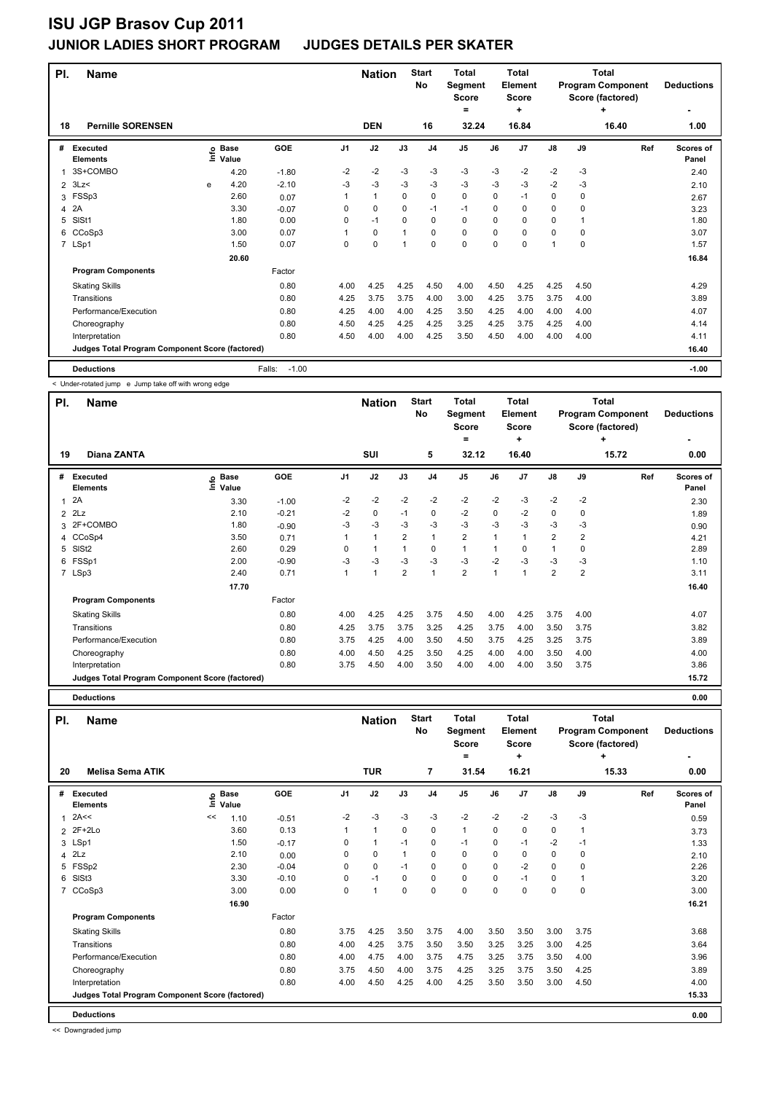| PI.            | <b>Name</b>                                     |   |                                  |                   |                | <b>Nation</b> |             | <b>Start</b><br>No | <b>Total</b><br>Segment<br><b>Score</b><br>= |      | <b>Total</b><br><b>Element</b><br><b>Score</b><br>÷ |          |      | <b>Total</b><br><b>Program Component</b><br>Score (factored)<br>٠ | <b>Deductions</b>  |
|----------------|-------------------------------------------------|---|----------------------------------|-------------------|----------------|---------------|-------------|--------------------|----------------------------------------------|------|-----------------------------------------------------|----------|------|-------------------------------------------------------------------|--------------------|
| 18             | <b>Pernille SORENSEN</b>                        |   |                                  |                   |                | <b>DEN</b>    |             | 16                 | 32.24                                        |      | 16.84                                               |          |      | 16.40                                                             | 1.00               |
| #              | Executed<br><b>Elements</b>                     |   | <b>Base</b><br>e Base<br>⊆ Value | GOE               | J <sub>1</sub> | J2            | J3          | J <sub>4</sub>     | J <sub>5</sub>                               | J6   | J <sub>7</sub>                                      | J8       | J9   | Ref                                                               | Scores of<br>Panel |
|                | 3S+COMBO                                        |   | 4.20                             | $-1.80$           | $-2$           | $-2$          | $-3$        | $-3$               | $-3$                                         | $-3$ | $-2$                                                | $-2$     | $-3$ |                                                                   | 2.40               |
| $\overline{2}$ | 3Lz                                             | e | 4.20                             | $-2.10$           | -3             | $-3$          | $-3$        | $-3$               | $-3$                                         | $-3$ | $-3$                                                | $-2$     | $-3$ |                                                                   | 2.10               |
| 3              | FSSp3                                           |   | 2.60                             | 0.07              |                | $\mathbf{1}$  | $\Omega$    | $\mathbf 0$        | $\mathbf 0$                                  | 0    | $-1$                                                | 0        | 0    |                                                                   | 2.67               |
| 4              | 2A                                              |   | 3.30                             | $-0.07$           | 0              | $\mathbf 0$   | $\Omega$    | $-1$               | $-1$                                         | 0    | $\Omega$                                            | $\Omega$ | 0    |                                                                   | 3.23               |
| 5              | SISt1                                           |   | 1.80                             | 0.00              | 0              | $-1$          | $\mathbf 0$ | $\mathbf 0$        | $\mathbf 0$                                  | 0    | 0                                                   | 0        | 1    |                                                                   | 1.80               |
| 6              | CCoSp3                                          |   | 3.00                             | 0.07              |                | $\mathbf 0$   | 1           | 0                  | 0                                            | 0    | 0                                                   | 0        | 0    |                                                                   | 3.07               |
|                | 7 LSp1                                          |   | 1.50                             | 0.07              | 0              | $\mathbf 0$   | 1           | $\mathbf 0$        | $\mathbf 0$                                  | 0    | 0                                                   | 1        | 0    |                                                                   | 1.57               |
|                |                                                 |   | 20.60                            |                   |                |               |             |                    |                                              |      |                                                     |          |      |                                                                   | 16.84              |
|                | <b>Program Components</b>                       |   |                                  | Factor            |                |               |             |                    |                                              |      |                                                     |          |      |                                                                   |                    |
|                | <b>Skating Skills</b>                           |   |                                  | 0.80              | 4.00           | 4.25          | 4.25        | 4.50               | 4.00                                         | 4.50 | 4.25                                                | 4.25     | 4.50 |                                                                   | 4.29               |
|                | Transitions                                     |   |                                  | 0.80              | 4.25           | 3.75          | 3.75        | 4.00               | 3.00                                         | 4.25 | 3.75                                                | 3.75     | 4.00 |                                                                   | 3.89               |
|                | Performance/Execution                           |   |                                  | 0.80              | 4.25           | 4.00          | 4.00        | 4.25               | 3.50                                         | 4.25 | 4.00                                                | 4.00     | 4.00 |                                                                   | 4.07               |
|                | Choreography                                    |   |                                  | 0.80              | 4.50           | 4.25          | 4.25        | 4.25               | 3.25                                         | 4.25 | 3.75                                                | 4.25     | 4.00 |                                                                   | 4.14               |
|                | Interpretation                                  |   |                                  | 0.80              | 4.50           | 4.00          | 4.00        | 4.25               | 3.50                                         | 4.50 | 4.00                                                | 4.00     | 4.00 |                                                                   | 4.11               |
|                | Judges Total Program Component Score (factored) |   |                                  |                   |                |               |             |                    |                                              |      |                                                     |          |      |                                                                   | 16.40              |
|                | <b>Deductions</b>                               |   |                                  | $-1.00$<br>Falls: |                |               |             |                    |                                              |      |                                                     |          |      |                                                                   | $-1.00$            |

< Under-rotated jump e Jump take off with wrong edge

| PI. | <b>Name</b>                                     |                            |         |          | <b>Nation</b> |                | <b>Start</b><br>No | <b>Total</b><br><b>Segment</b><br><b>Score</b> |             | <b>Total</b><br>Element<br><b>Score</b> |                         |                | <b>Total</b><br><b>Program Component</b><br>Score (factored) | <b>Deductions</b>         |
|-----|-------------------------------------------------|----------------------------|---------|----------|---------------|----------------|--------------------|------------------------------------------------|-------------|-----------------------------------------|-------------------------|----------------|--------------------------------------------------------------|---------------------------|
|     |                                                 |                            |         |          |               |                |                    | =                                              |             | ٠                                       |                         |                | ÷                                                            |                           |
| 19  | Diana ZANTA                                     |                            |         |          | <b>SUI</b>    |                | 5                  | 32.12                                          |             | 16.40                                   |                         |                | 15.72                                                        | 0.00                      |
| #   | Executed<br><b>Elements</b>                     | © Base<br>E Value<br>Value | GOE     | J1       | J2            | J3             | J <sub>4</sub>     | J <sub>5</sub>                                 | J6          | J7                                      | $\mathsf{J}8$           | J9             | Ref                                                          | <b>Scores of</b><br>Panel |
| 1   | 2A                                              | 3.30                       | $-1.00$ | $-2$     | $-2$          | $-2$           | $-2$               | $-2$                                           | $-2$        | $-3$                                    | $-2$                    | $-2$           |                                                              | 2.30                      |
|     | $2$ $2Lz$                                       | 2.10                       | $-0.21$ | $-2$     | $\mathbf 0$   | $-1$           | $\mathbf 0$        | $-2$                                           | $\Omega$    | $-2$                                    | $\mathbf 0$             | $\Omega$       |                                                              | 1.89                      |
| 3   | 2F+COMBO                                        | 1.80                       | $-0.90$ | $-3$     | $-3$          | -3             | $-3$               | $-3$                                           | $-3$        | $-3$                                    | $-3$                    | $-3$           |                                                              | 0.90                      |
|     | 4 CCoSp4                                        | 3.50                       | 0.71    |          | $\mathbf{1}$  | $\overline{2}$ | $\mathbf{1}$       | $\overline{\mathbf{c}}$                        | 1           | 1                                       | $\overline{\mathbf{c}}$ | 2              |                                                              | 4.21                      |
| 5   | SISt <sub>2</sub>                               | 2.60                       | 0.29    | $\Omega$ | $\mathbf{1}$  |                | 0                  | $\mathbf{1}$                                   | $\mathbf 1$ | $\Omega$                                | 1                       | $\Omega$       |                                                              | 2.89                      |
| 6   | FSSp1                                           | 2.00                       | $-0.90$ | $-3$     | $-3$          | $-3$           | $-3$               | $-3$                                           | $-2$        | $-3$                                    | $-3$                    | $-3$           |                                                              | 1.10                      |
|     | 7 LSp3                                          | 2.40                       | 0.71    | 1        | $\mathbf{1}$  | $\overline{2}$ | $\mathbf{1}$       | $\overline{2}$                                 | 1           | 1                                       | $\overline{2}$          | $\overline{2}$ |                                                              | 3.11                      |
|     |                                                 | 17.70                      |         |          |               |                |                    |                                                |             |                                         |                         |                |                                                              | 16.40                     |
|     | <b>Program Components</b>                       |                            | Factor  |          |               |                |                    |                                                |             |                                         |                         |                |                                                              |                           |
|     | <b>Skating Skills</b>                           |                            | 0.80    | 4.00     | 4.25          | 4.25           | 3.75               | 4.50                                           | 4.00        | 4.25                                    | 3.75                    | 4.00           |                                                              | 4.07                      |
|     | Transitions                                     |                            | 0.80    | 4.25     | 3.75          | 3.75           | 3.25               | 4.25                                           | 3.75        | 4.00                                    | 3.50                    | 3.75           |                                                              | 3.82                      |
|     | Performance/Execution                           |                            | 0.80    | 3.75     | 4.25          | 4.00           | 3.50               | 4.50                                           | 3.75        | 4.25                                    | 3.25                    | 3.75           |                                                              | 3.89                      |
|     | Choreography                                    |                            | 0.80    | 4.00     | 4.50          | 4.25           | 3.50               | 4.25                                           | 4.00        | 4.00                                    | 3.50                    | 4.00           |                                                              | 4.00                      |
|     | Interpretation                                  |                            | 0.80    | 3.75     | 4.50          | 4.00           | 3.50               | 4.00                                           | 4.00        | 4.00                                    | 3.50                    | 3.75           |                                                              | 3.86                      |
|     | Judges Total Program Component Score (factored) |                            |         |          |               |                |                    |                                                |             |                                         |                         |                |                                                              | 15.72                     |

**Deductions 0.00**

| PI.            | <b>Name</b>                                     |    |                            |            |                | <b>Nation</b> |              | <b>Start</b><br>No | <b>Total</b><br>Segment<br><b>Score</b><br>Ξ. |          | <b>Total</b><br>Element<br><b>Score</b><br>٠ |               |      | <b>Total</b><br><b>Program Component</b><br>Score (factored)<br>٠ | <b>Deductions</b>  |
|----------------|-------------------------------------------------|----|----------------------------|------------|----------------|---------------|--------------|--------------------|-----------------------------------------------|----------|----------------------------------------------|---------------|------|-------------------------------------------------------------------|--------------------|
| 20             | <b>Melisa Sema ATIK</b>                         |    |                            |            |                | <b>TUR</b>    |              | 7                  | 31.54                                         |          | 16.21                                        |               |      | 15.33                                                             | 0.00               |
| #              | Executed<br><b>Elements</b>                     |    | e Base<br>E Value<br>Value | <b>GOE</b> | J <sub>1</sub> | J2            | J3           | J <sub>4</sub>     | J <sub>5</sub>                                | J6       | J <sub>7</sub>                               | $\mathsf{J}8$ | J9   | Ref                                                               | Scores of<br>Panel |
| 1              | 2A<<                                            | << | 1.10                       | $-0.51$    | $-2$           | $-3$          | $-3$         | $-3$               | $-2$                                          | $-2$     | $-2$                                         | $-3$          | $-3$ |                                                                   | 0.59               |
| $\overline{2}$ | $2F+2Lo$                                        |    | 3.60                       | 0.13       | 1              | $\mathbf{1}$  | $\Omega$     | $\mathbf 0$        | $\mathbf{1}$                                  | $\Omega$ | $\mathbf 0$                                  | $\mathbf 0$   | 1    |                                                                   | 3.73               |
|                | 3 LSp1                                          |    | 1.50                       | $-0.17$    | 0              | $\mathbf{1}$  | $-1$         | 0                  | $-1$                                          | 0        | $-1$                                         | $-2$          | $-1$ |                                                                   | 1.33               |
| 4              | 2Lz                                             |    | 2.10                       | 0.00       | 0              | $\mathbf 0$   | $\mathbf{1}$ | 0                  | 0                                             | 0        | 0                                            | $\mathbf 0$   | 0    |                                                                   | 2.10               |
| 5              | FSSp2                                           |    | 2.30                       | $-0.04$    | 0              | 0             | $-1$         | 0                  | 0                                             | 0        | $-2$                                         | 0             | 0    |                                                                   | 2.26               |
| 6              | SIS <sub>t3</sub>                               |    | 3.30                       | $-0.10$    | 0              | $-1$          | 0            | 0                  | $\mathbf 0$                                   | 0        | $-1$                                         | 0             |      |                                                                   | 3.20               |
| 7              | CCoSp3                                          |    | 3.00                       | 0.00       | 0              | $\mathbf{1}$  | 0            | 0                  | $\mathbf 0$                                   | 0        | 0                                            | 0             | 0    |                                                                   | 3.00               |
|                |                                                 |    | 16.90                      |            |                |               |              |                    |                                               |          |                                              |               |      |                                                                   | 16.21              |
|                | <b>Program Components</b>                       |    |                            | Factor     |                |               |              |                    |                                               |          |                                              |               |      |                                                                   |                    |
|                | <b>Skating Skills</b>                           |    |                            | 0.80       | 3.75           | 4.25          | 3.50         | 3.75               | 4.00                                          | 3.50     | 3.50                                         | 3.00          | 3.75 |                                                                   | 3.68               |
|                | Transitions                                     |    |                            | 0.80       | 4.00           | 4.25          | 3.75         | 3.50               | 3.50                                          | 3.25     | 3.25                                         | 3.00          | 4.25 |                                                                   | 3.64               |
|                | Performance/Execution                           |    |                            | 0.80       | 4.00           | 4.75          | 4.00         | 3.75               | 4.75                                          | 3.25     | 3.75                                         | 3.50          | 4.00 |                                                                   | 3.96               |
|                | Choreography                                    |    |                            | 0.80       | 3.75           | 4.50          | 4.00         | 3.75               | 4.25                                          | 3.25     | 3.75                                         | 3.50          | 4.25 |                                                                   | 3.89               |
|                | Interpretation                                  |    |                            | 0.80       | 4.00           | 4.50          | 4.25         | 4.00               | 4.25                                          | 3.50     | 3.50                                         | 3.00          | 4.50 |                                                                   | 4.00               |
|                | Judges Total Program Component Score (factored) |    |                            |            |                |               |              |                    |                                               |          |                                              |               |      |                                                                   | 15.33              |
|                | <b>Deductions</b>                               |    |                            |            |                |               |              |                    |                                               |          |                                              |               |      |                                                                   | 0.00               |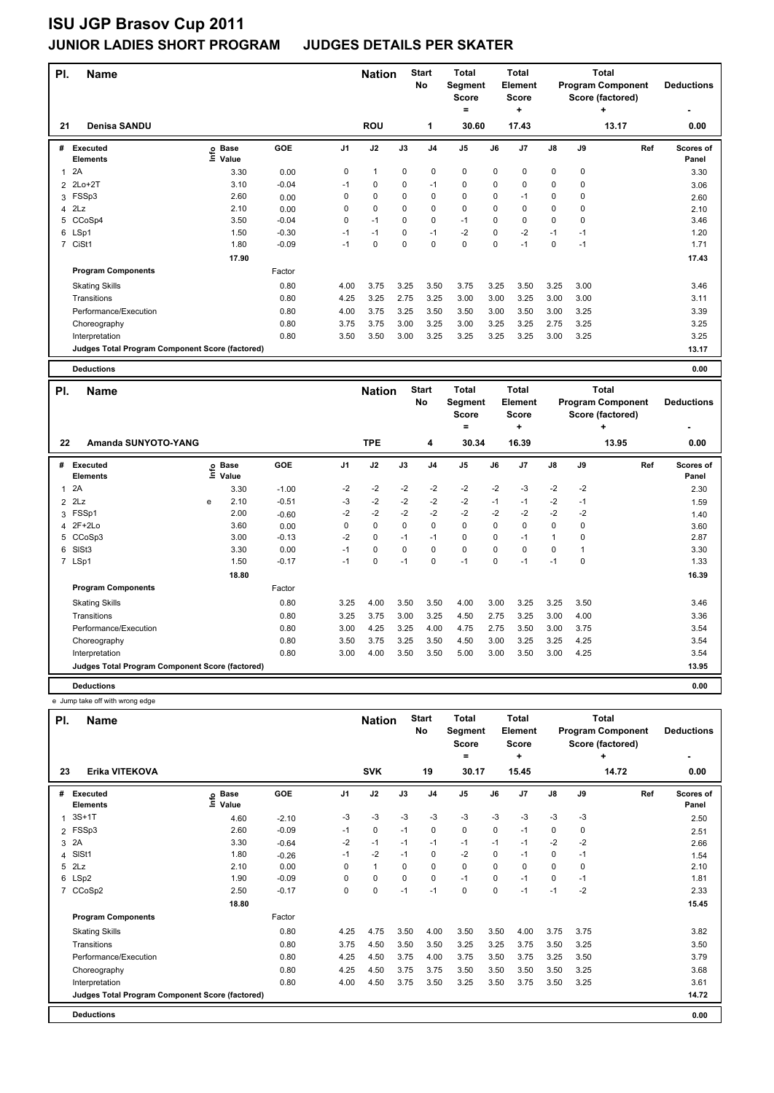| PI.            | <b>Name</b>                                     |                              |         |                | <b>Nation</b>  |      | <b>Start</b><br>No | <b>Total</b><br>Segment<br><b>Score</b><br>= |             | <b>Total</b><br><b>Element</b><br><b>Score</b><br>٠ |             |          | <b>Total</b><br><b>Program Component</b><br>Score (factored)<br>٠ | <b>Deductions</b>  |
|----------------|-------------------------------------------------|------------------------------|---------|----------------|----------------|------|--------------------|----------------------------------------------|-------------|-----------------------------------------------------|-------------|----------|-------------------------------------------------------------------|--------------------|
| 21             | <b>Denisa SANDU</b>                             |                              |         |                | <b>ROU</b>     |      | 1                  | 30.60                                        |             | 17.43                                               |             |          | 13.17                                                             | 0.00               |
| #              | <b>Executed</b><br><b>Elements</b>              | <b>Base</b><br>lnfo<br>Value | GOE     | J <sub>1</sub> | J2             | J3   | J <sub>4</sub>     | J <sub>5</sub>                               | J6          | J <sub>7</sub>                                      | J8          | J9       | Ref                                                               | Scores of<br>Panel |
| $\mathbf{1}$   | 2A                                              | 3.30                         | 0.00    | 0              | $\overline{1}$ | 0    | 0                  | 0                                            | 0           | 0                                                   | 0           | 0        |                                                                   | 3.30               |
| 2              | $2Lo+2T$                                        | 3.10                         | $-0.04$ | $-1$           | 0              | 0    | $-1$               | $\pmb{0}$                                    | $\mathbf 0$ | 0                                                   | 0           | 0        |                                                                   | 3.06               |
|                | 3 FSSp3                                         | 2.60                         | 0.00    | 0              | $\mathbf 0$    | 0    | $\mathbf 0$        | $\mathbf 0$                                  | 0           | $-1$                                                | 0           | 0        |                                                                   | 2.60               |
| 4              | 2Lz                                             | 2.10                         | 0.00    | 0              | $\mathbf 0$    | 0    | $\mathbf 0$        | $\mathbf 0$                                  | $\Omega$    | 0                                                   | 0           | $\Omega$ |                                                                   | 2.10               |
| 5              | CCoSp4                                          | 3.50                         | $-0.04$ | 0              | $-1$           | 0    | $\pmb{0}$          | $-1$                                         | 0           | 0                                                   | 0           | 0        |                                                                   | 3.46               |
|                | 6 LSp1                                          | 1.50                         | $-0.30$ | $-1$           | $-1$           | 0    | $-1$               | $-2$                                         | $\mathbf 0$ | $-2$                                                | $-1$        | $-1$     |                                                                   | 1.20               |
| $\overline{7}$ | CiSt1                                           | 1.80                         | $-0.09$ | -1             | 0              | 0    | 0                  | $\mathbf 0$                                  | 0           | $-1$                                                | $\mathbf 0$ | $-1$     |                                                                   | 1.71               |
|                |                                                 | 17.90                        |         |                |                |      |                    |                                              |             |                                                     |             |          |                                                                   | 17.43              |
|                | <b>Program Components</b>                       |                              | Factor  |                |                |      |                    |                                              |             |                                                     |             |          |                                                                   |                    |
|                | <b>Skating Skills</b>                           |                              | 0.80    | 4.00           | 3.75           | 3.25 | 3.50               | 3.75                                         | 3.25        | 3.50                                                | 3.25        | 3.00     |                                                                   | 3.46               |
|                | Transitions                                     |                              | 0.80    | 4.25           | 3.25           | 2.75 | 3.25               | 3.00                                         | 3.00        | 3.25                                                | 3.00        | 3.00     |                                                                   | 3.11               |
|                | Performance/Execution                           |                              | 0.80    | 4.00           | 3.75           | 3.25 | 3.50               | 3.50                                         | 3.00        | 3.50                                                | 3.00        | 3.25     |                                                                   | 3.39               |
|                | Choreography                                    |                              | 0.80    | 3.75           | 3.75           | 3.00 | 3.25               | 3.00                                         | 3.25        | 3.25                                                | 2.75        | 3.25     |                                                                   | 3.25               |
|                | Interpretation                                  |                              | 0.80    | 3.50           | 3.50           | 3.00 | 3.25               | 3.25                                         | 3.25        | 3.25                                                | 3.00        | 3.25     |                                                                   | 3.25               |
|                | Judges Total Program Component Score (factored) |                              |         |                |                |      |                    |                                              |             |                                                     |             |          |                                                                   | 13.17              |

**Deductions 0.00**

| PI.          | <b>Name</b>                 |                                                 |                            |         |                | <b>Nation</b> |          | <b>Start</b><br>No | <b>Total</b><br>Segment<br><b>Score</b> |             | <b>Total</b><br><b>Element</b><br><b>Score</b> |                |      | <b>Total</b><br><b>Program Component</b><br>Score (factored) | <b>Deductions</b>         |
|--------------|-----------------------------|-------------------------------------------------|----------------------------|---------|----------------|---------------|----------|--------------------|-----------------------------------------|-------------|------------------------------------------------|----------------|------|--------------------------------------------------------------|---------------------------|
|              | Amanda SUNYOTO-YANG         |                                                 |                            |         |                |               |          |                    | ٠                                       |             | ÷                                              |                |      | ٠                                                            |                           |
| 22           |                             |                                                 |                            |         |                | <b>TPE</b>    |          | 4                  | 30.34                                   |             | 16.39                                          |                |      | 13.95                                                        | 0.00                      |
| #            | Executed<br><b>Elements</b> |                                                 | e Base<br>E Value<br>Value | GOE     | J <sub>1</sub> | J2            | J3       | J <sub>4</sub>     | J <sub>5</sub>                          | J6          | J7                                             | $\mathsf{J}8$  | J9   | Ref                                                          | <b>Scores of</b><br>Panel |
| $\mathbf{1}$ | 2A                          |                                                 | 3.30                       | $-1.00$ | $-2$           | $-2$          | $-2$     | $-2$               | $-2$                                    | $-2$        | -3                                             | $-2$           | $-2$ |                                                              | 2.30                      |
|              | $2$ $2Lz$                   | e                                               | 2.10                       | $-0.51$ | -3             | $-2$          | $-2$     | $-2$               | $-2$                                    | $-1$        | $-1$                                           | $-2$           | $-1$ |                                                              | 1.59                      |
|              | 3 FSSp1                     |                                                 | 2.00                       | $-0.60$ | $-2$           | $-2$          | $-2$     | $-2$               | $-2$                                    | $-2$        | $-2$                                           | $-2$           | $-2$ |                                                              | 1.40                      |
|              | 4 2F+2Lo                    |                                                 | 3.60                       | 0.00    | 0              | $\mathbf 0$   | $\Omega$ | $\mathbf 0$        | $\mathbf 0$                             | $\mathbf 0$ | 0                                              | $\mathbf 0$    | 0    |                                                              | 3.60                      |
|              | 5 CCoSp3                    |                                                 | 3.00                       | $-0.13$ | $-2$           | $\mathbf 0$   | $-1$     | $-1$               | $\mathbf 0$                             | $\mathbf 0$ | -1                                             | $\overline{1}$ | 0    |                                                              | 2.87                      |
| 6            | SISt <sub>3</sub>           |                                                 | 3.30                       | 0.00    | $-1$           | $\mathbf 0$   | 0        | 0                  | $\mathbf 0$                             | 0           | 0                                              | 0              |      |                                                              | 3.30                      |
|              | 7 LSp1                      |                                                 | 1.50                       | $-0.17$ | $-1$           | 0             | $-1$     | 0                  | $-1$                                    | 0           | $-1$                                           | $-1$           | 0    |                                                              | 1.33                      |
|              |                             |                                                 | 18.80                      |         |                |               |          |                    |                                         |             |                                                |                |      |                                                              | 16.39                     |
|              | <b>Program Components</b>   |                                                 |                            | Factor  |                |               |          |                    |                                         |             |                                                |                |      |                                                              |                           |
|              | <b>Skating Skills</b>       |                                                 |                            | 0.80    | 3.25           | 4.00          | 3.50     | 3.50               | 4.00                                    | 3.00        | 3.25                                           | 3.25           | 3.50 |                                                              | 3.46                      |
|              | Transitions                 |                                                 |                            | 0.80    | 3.25           | 3.75          | 3.00     | 3.25               | 4.50                                    | 2.75        | 3.25                                           | 3.00           | 4.00 |                                                              | 3.36                      |
|              | Performance/Execution       |                                                 |                            | 0.80    | 3.00           | 4.25          | 3.25     | 4.00               | 4.75                                    | 2.75        | 3.50                                           | 3.00           | 3.75 |                                                              | 3.54                      |
|              | Choreography                |                                                 |                            | 0.80    | 3.50           | 3.75          | 3.25     | 3.50               | 4.50                                    | 3.00        | 3.25                                           | 3.25           | 4.25 |                                                              | 3.54                      |
|              | Interpretation              |                                                 |                            | 0.80    | 3.00           | 4.00          | 3.50     | 3.50               | 5.00                                    | 3.00        | 3.50                                           | 3.00           | 4.25 |                                                              | 3.54                      |
|              |                             | Judges Total Program Component Score (factored) |                            |         |                |               |          |                    |                                         |             |                                                |                |      |                                                              | 13.95                     |
|              |                             |                                                 |                            |         |                |               |          |                    |                                         |             |                                                |                |      |                                                              |                           |

**Deductions 0.00** e Jump take off with wrong edge

| PI.         | <b>Name</b>                                     |                            |         |                | <b>Nation</b> |      | <b>Start</b><br>No | <b>Total</b><br>Segment<br>Score<br>= |          | Total<br>Element<br><b>Score</b><br>÷ |               |      | <b>Total</b><br><b>Program Component</b><br>Score (factored)<br>÷ | <b>Deductions</b><br>٠    |
|-------------|-------------------------------------------------|----------------------------|---------|----------------|---------------|------|--------------------|---------------------------------------|----------|---------------------------------------|---------------|------|-------------------------------------------------------------------|---------------------------|
| 23          | Erika VITEKOVA                                  |                            |         |                | <b>SVK</b>    |      | 19                 | 30.17                                 |          | 15.45                                 |               |      | 14.72                                                             | 0.00                      |
| #           | <b>Executed</b><br><b>Elements</b>              | e Base<br>E Value<br>Value | GOE     | J <sub>1</sub> | J2            | J3   | J <sub>4</sub>     | J <sub>5</sub>                        | J6       | J <sub>7</sub>                        | $\mathsf{J}8$ | J9   | Ref                                                               | <b>Scores of</b><br>Panel |
| $\mathbf 1$ | $3S+1T$                                         | 4.60                       | $-2.10$ | -3             | $-3$          | $-3$ | $-3$               | $-3$                                  | $-3$     | $-3$                                  | $-3$          | $-3$ |                                                                   | 2.50                      |
|             | 2 FSSp3                                         | 2.60                       | $-0.09$ | $-1$           | 0             | $-1$ | 0                  | 0                                     | 0        | $-1$                                  | 0             | 0    |                                                                   | 2.51                      |
| 3           | 2A                                              | 3.30                       | $-0.64$ | $-2$           | $-1$          | $-1$ | $-1$               | $-1$                                  | $-1$     | $-1$                                  | $-2$          | $-2$ |                                                                   | 2.66                      |
| 4           | SISt1                                           | 1.80                       | $-0.26$ | $-1$           | $-2$          | $-1$ | 0                  | $-2$                                  | $\Omega$ | $-1$                                  | 0             | $-1$ |                                                                   | 1.54                      |
| 5           | 2Lz                                             | 2.10                       | 0.00    | 0              | $\mathbf{1}$  | 0    | 0                  | $\mathbf 0$                           | $\Omega$ | 0                                     | 0             | 0    |                                                                   | 2.10                      |
| 6           | LSp2                                            | 1.90                       | $-0.09$ | 0              | $\mathbf 0$   | 0    | 0                  | $-1$                                  | 0        | $-1$                                  | 0             | $-1$ |                                                                   | 1.81                      |
|             | 7 CCoSp2                                        | 2.50                       | $-0.17$ | 0              | $\pmb{0}$     | $-1$ | $-1$               | $\mathbf 0$                           | 0        | $-1$                                  | $-1$          | $-2$ |                                                                   | 2.33                      |
|             |                                                 | 18.80                      |         |                |               |      |                    |                                       |          |                                       |               |      |                                                                   | 15.45                     |
|             | <b>Program Components</b>                       |                            | Factor  |                |               |      |                    |                                       |          |                                       |               |      |                                                                   |                           |
|             | <b>Skating Skills</b>                           |                            | 0.80    | 4.25           | 4.75          | 3.50 | 4.00               | 3.50                                  | 3.50     | 4.00                                  | 3.75          | 3.75 |                                                                   | 3.82                      |
|             | Transitions                                     |                            | 0.80    | 3.75           | 4.50          | 3.50 | 3.50               | 3.25                                  | 3.25     | 3.75                                  | 3.50          | 3.25 |                                                                   | 3.50                      |
|             | Performance/Execution                           |                            | 0.80    | 4.25           | 4.50          | 3.75 | 4.00               | 3.75                                  | 3.50     | 3.75                                  | 3.25          | 3.50 |                                                                   | 3.79                      |
|             | Choreography                                    |                            | 0.80    | 4.25           | 4.50          | 3.75 | 3.75               | 3.50                                  | 3.50     | 3.50                                  | 3.50          | 3.25 |                                                                   | 3.68                      |
|             | Interpretation                                  |                            | 0.80    | 4.00           | 4.50          | 3.75 | 3.50               | 3.25                                  | 3.50     | 3.75                                  | 3.50          | 3.25 |                                                                   | 3.61                      |
|             | Judges Total Program Component Score (factored) |                            |         |                |               |      |                    |                                       |          |                                       |               |      |                                                                   | 14.72                     |
|             | <b>Deductions</b>                               |                            |         |                |               |      |                    |                                       |          |                                       |               |      |                                                                   | 0.00                      |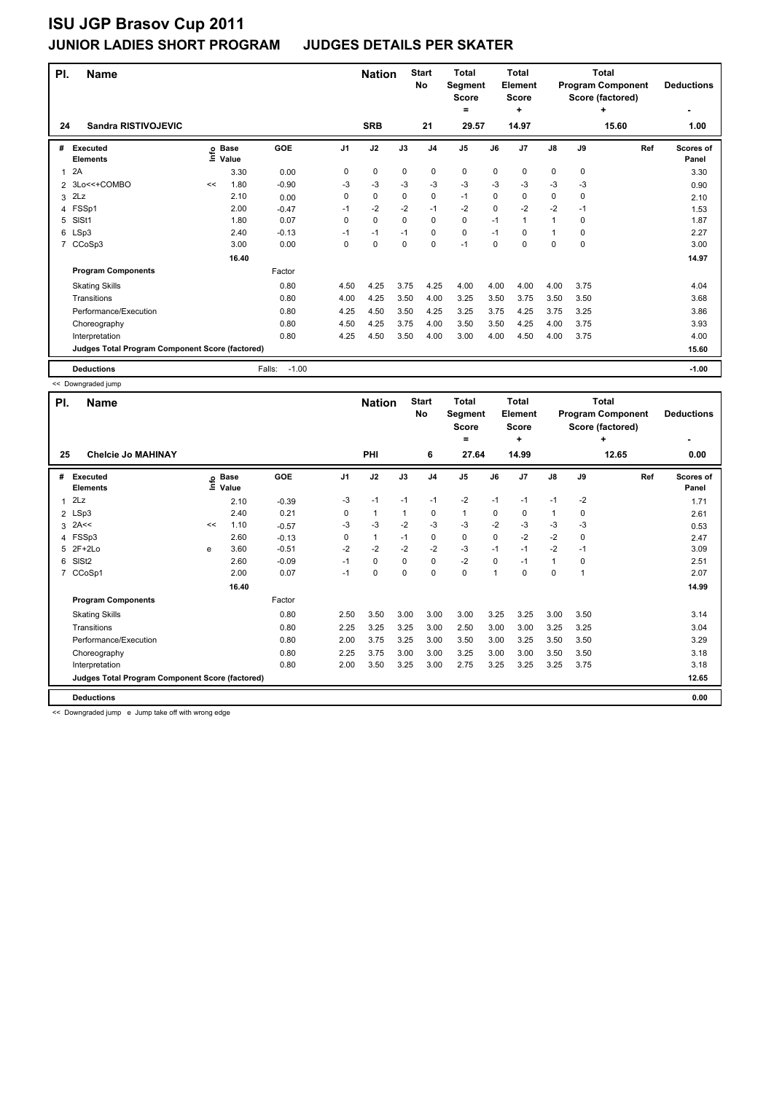| PI.            | <b>Name</b>                                     |    |                            |                   |                | <b>Nation</b> |             | <b>Start</b><br><b>No</b> | <b>Total</b><br>Segment<br><b>Score</b><br>$\equiv$ |      | <b>Total</b><br>Element<br><b>Score</b><br>÷ |               |             | <b>Total</b><br><b>Program Component</b><br>Score (factored)<br>٠ | <b>Deductions</b>         |
|----------------|-------------------------------------------------|----|----------------------------|-------------------|----------------|---------------|-------------|---------------------------|-----------------------------------------------------|------|----------------------------------------------|---------------|-------------|-------------------------------------------------------------------|---------------------------|
| 24             | <b>Sandra RISTIVOJEVIC</b>                      |    |                            |                   |                | <b>SRB</b>    |             | 21                        | 29.57                                               |      | 14.97                                        |               |             | 15.60                                                             | 1.00                      |
| #              | Executed<br><b>Elements</b>                     |    | e Base<br>⊑ Value<br>Value | GOE               | J <sub>1</sub> | J2            | J3          | J <sub>4</sub>            | J <sub>5</sub>                                      | J6   | J <sub>7</sub>                               | $\mathsf{J}8$ | J9          | Ref                                                               | <b>Scores of</b><br>Panel |
| 1              | 2A                                              |    | 3.30                       | 0.00              | 0              | 0             | $\mathbf 0$ | $\mathbf 0$               | 0                                                   | 0    | $\mathbf 0$                                  | 0             | $\mathbf 0$ |                                                                   | 3.30                      |
| $\mathfrak{p}$ | 3Lo<<+COMBO                                     | << | 1.80                       | $-0.90$           | -3             | $-3$          | $-3$        | $-3$                      | $-3$                                                | $-3$ | $-3$                                         | $-3$          | $-3$        |                                                                   | 0.90                      |
| 3              | 2Lz                                             |    | 2.10                       | 0.00              | 0              | 0             | 0           | 0                         | $-1$                                                | 0    | 0                                            | 0             | 0           |                                                                   | 2.10                      |
| $\overline{4}$ | FSSp1                                           |    | 2.00                       | $-0.47$           | $-1$           | $-2$          | $-2$        | $-1$                      | $-2$                                                | 0    | $-2$                                         | $-2$          | $-1$        |                                                                   | 1.53                      |
| 5              | SIS <sub>t1</sub>                               |    | 1.80                       | 0.07              | 0              | 0             | 0           | 0                         | 0                                                   | $-1$ | $\mathbf{1}$                                 | $\mathbf{1}$  | 0           |                                                                   | 1.87                      |
| 6              | LSp3                                            |    | 2.40                       | $-0.13$           | $-1$           | $-1$          | $-1$        | $\mathbf 0$               | 0                                                   | $-1$ | 0                                            | 1             | $\Omega$    |                                                                   | 2.27                      |
| $\overline{7}$ | CCoSp3                                          |    | 3.00                       | 0.00              | 0              | 0             | $\Omega$    | 0                         | $-1$                                                | 0    | 0                                            | 0             | 0           |                                                                   | 3.00                      |
|                |                                                 |    | 16.40                      |                   |                |               |             |                           |                                                     |      |                                              |               |             |                                                                   | 14.97                     |
|                | <b>Program Components</b>                       |    |                            | Factor            |                |               |             |                           |                                                     |      |                                              |               |             |                                                                   |                           |
|                | <b>Skating Skills</b>                           |    |                            | 0.80              | 4.50           | 4.25          | 3.75        | 4.25                      | 4.00                                                | 4.00 | 4.00                                         | 4.00          | 3.75        |                                                                   | 4.04                      |
|                | Transitions                                     |    |                            | 0.80              | 4.00           | 4.25          | 3.50        | 4.00                      | 3.25                                                | 3.50 | 3.75                                         | 3.50          | 3.50        |                                                                   | 3.68                      |
|                | Performance/Execution                           |    |                            | 0.80              | 4.25           | 4.50          | 3.50        | 4.25                      | 3.25                                                | 3.75 | 4.25                                         | 3.75          | 3.25        |                                                                   | 3.86                      |
|                | Choreography                                    |    |                            | 0.80              | 4.50           | 4.25          | 3.75        | 4.00                      | 3.50                                                | 3.50 | 4.25                                         | 4.00          | 3.75        |                                                                   | 3.93                      |
|                | Interpretation                                  |    |                            | 0.80              | 4.25           | 4.50          | 3.50        | 4.00                      | 3.00                                                | 4.00 | 4.50                                         | 4.00          | 3.75        |                                                                   | 4.00                      |
|                | Judges Total Program Component Score (factored) |    |                            |                   |                |               |             |                           |                                                     |      |                                              |               |             |                                                                   | 15.60                     |
|                | <b>Deductions</b>                               |    |                            | Falls:<br>$-1.00$ |                |               |             |                           |                                                     |      |                                              |               |             |                                                                   | $-1.00$                   |

<< Downgraded jump

| PI.            | <b>Name</b>                                     |      |                      |            |                | <b>Nation</b> |      | <b>Start</b><br>No | <b>Total</b><br>Segment<br><b>Score</b><br>٠ |             | <b>Total</b><br>Element<br><b>Score</b><br>٠ |               |      | <b>Total</b><br><b>Program Component</b><br>Score (factored)<br>÷ | <b>Deductions</b>  |
|----------------|-------------------------------------------------|------|----------------------|------------|----------------|---------------|------|--------------------|----------------------------------------------|-------------|----------------------------------------------|---------------|------|-------------------------------------------------------------------|--------------------|
| 25             | <b>Chelcie Jo MAHINAY</b>                       |      |                      |            |                | <b>PHI</b>    |      | 6                  | 27.64                                        |             | 14.99                                        |               |      | 12.65                                                             | 0.00               |
| #              | <b>Executed</b><br><b>Elements</b>              | lnfo | <b>Base</b><br>Value | <b>GOE</b> | J <sub>1</sub> | J2            | J3   | J <sub>4</sub>     | J <sub>5</sub>                               | J6          | J <sub>7</sub>                               | $\mathsf{J}8$ | J9   | Ref                                                               | Scores of<br>Panel |
| 1              | 2Lz                                             |      | 2.10                 | $-0.39$    | -3             | $-1$          | $-1$ | $-1$               | $-2$                                         | $-1$        | $-1$                                         | $-1$          | $-2$ |                                                                   | 1.71               |
|                | 2 LSp3                                          |      | 2.40                 | 0.21       | 0              | $\mathbf{1}$  | 1    | 0                  | $\mathbf{1}$                                 | 0           | $\mathbf 0$                                  | 1             | 0    |                                                                   | 2.61               |
|                | $3$ 2A <<                                       | <<   | 1.10                 | $-0.57$    | -3             | $-3$          | $-2$ | $-3$               | $-3$                                         | $-2$        | $-3$                                         | -3            | -3   |                                                                   | 0.53               |
|                | 4 FSSp3                                         |      | 2.60                 | $-0.13$    | 0              | $\mathbf{1}$  | $-1$ | 0                  | 0                                            | $\Omega$    | $-2$                                         | $-2$          | 0    |                                                                   | 2.47               |
| 5              | 2F+2Lo                                          | e    | 3.60                 | $-0.51$    | $-2$           | $-2$          | $-2$ | $-2$               | $-3$                                         | $-1$        | $-1$                                         | $-2$          | $-1$ |                                                                   | 3.09               |
| 6              | SIS <sub>t2</sub>                               |      | 2.60                 | $-0.09$    | $-1$           | $\mathbf 0$   | 0    | 0                  | $-2$                                         | 0           | $-1$                                         | $\mathbf{1}$  | 0    |                                                                   | 2.51               |
| $\overline{7}$ | CCoSp1                                          |      | 2.00                 | 0.07       | $-1$           | $\pmb{0}$     | 0    | 0                  | $\pmb{0}$                                    | $\mathbf 1$ | $\Omega$                                     | 0             |      |                                                                   | 2.07               |
|                |                                                 |      | 16.40                |            |                |               |      |                    |                                              |             |                                              |               |      |                                                                   | 14.99              |
|                | <b>Program Components</b>                       |      |                      | Factor     |                |               |      |                    |                                              |             |                                              |               |      |                                                                   |                    |
|                | <b>Skating Skills</b>                           |      |                      | 0.80       | 2.50           | 3.50          | 3.00 | 3.00               | 3.00                                         | 3.25        | 3.25                                         | 3.00          | 3.50 |                                                                   | 3.14               |
|                | Transitions                                     |      |                      | 0.80       | 2.25           | 3.25          | 3.25 | 3.00               | 2.50                                         | 3.00        | 3.00                                         | 3.25          | 3.25 |                                                                   | 3.04               |
|                | Performance/Execution                           |      |                      | 0.80       | 2.00           | 3.75          | 3.25 | 3.00               | 3.50                                         | 3.00        | 3.25                                         | 3.50          | 3.50 |                                                                   | 3.29               |
|                | Choreography                                    |      |                      | 0.80       | 2.25           | 3.75          | 3.00 | 3.00               | 3.25                                         | 3.00        | 3.00                                         | 3.50          | 3.50 |                                                                   | 3.18               |
|                | Interpretation                                  |      |                      | 0.80       | 2.00           | 3.50          | 3.25 | 3.00               | 2.75                                         | 3.25        | 3.25                                         | 3.25          | 3.75 |                                                                   | 3.18               |
|                | Judges Total Program Component Score (factored) |      |                      |            |                |               |      |                    |                                              |             |                                              |               |      |                                                                   | 12.65              |
|                | <b>Deductions</b>                               |      |                      |            |                |               |      |                    |                                              |             |                                              |               |      |                                                                   | 0.00               |

<< Downgraded jump e Jump take off with wrong edge